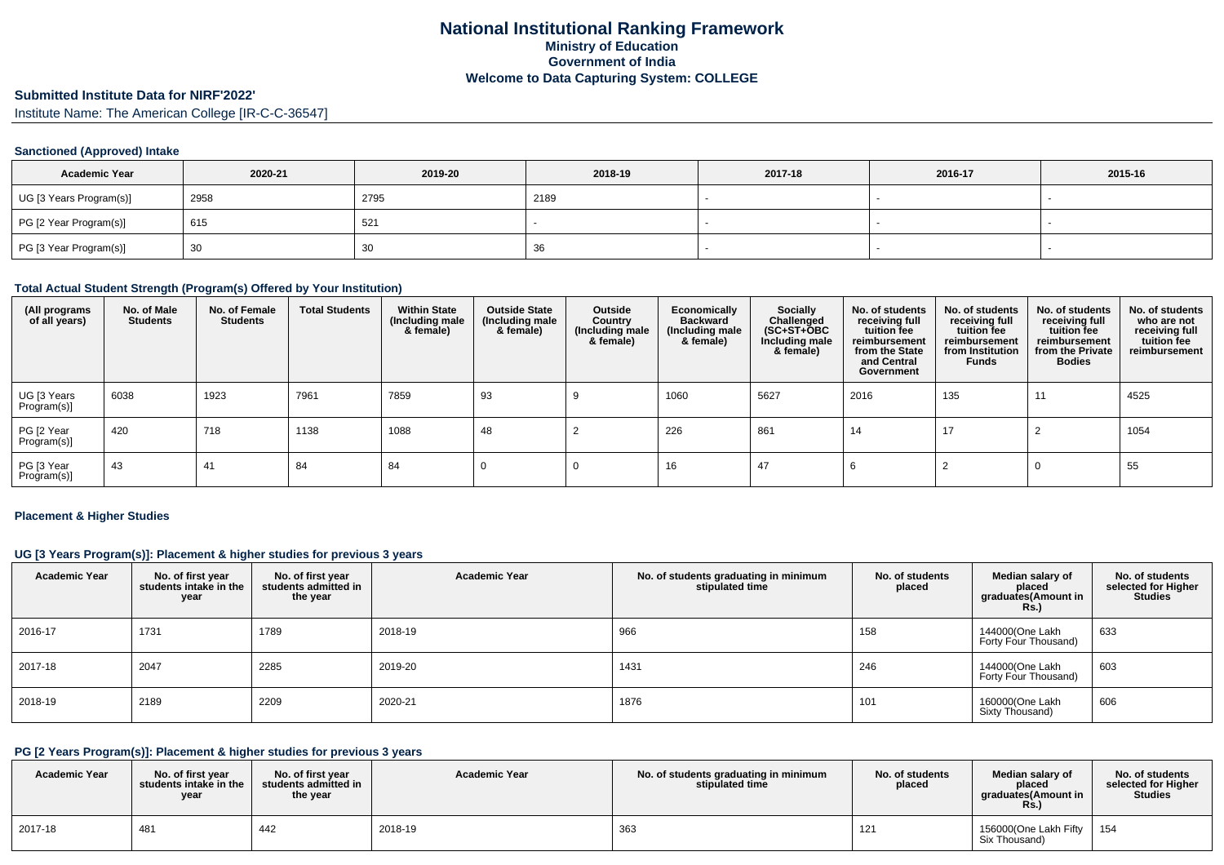# **Submitted Institute Data for NIRF'2022'**

Institute Name: The American College [IR-C-C-36547]

### **Sanctioned (Approved) Intake**

| <b>Academic Year</b>    | 2020-21 | 2019-20  | 2018-19 | 2017-18 | 2016-17 | 2015-16 |
|-------------------------|---------|----------|---------|---------|---------|---------|
| UG [3 Years Program(s)] | 2958    | 2795     | 2189    |         |         |         |
| PG [2 Year Program(s)]  | 615     | 521      |         |         |         |         |
| PG [3 Year Program(s)]  | 30      | 20<br>ບບ | 36      |         |         |         |

### **Total Actual Student Strength (Program(s) Offered by Your Institution)**

| (All programs<br>of all years) | No. of Male<br><b>Students</b> | No. of Female<br><b>Students</b> | <b>Total Students</b> | <b>Within State</b><br>(Including male<br>& female) | <b>Outside State</b><br>(Including male<br>& female) | Outside<br>Country<br>(Including male<br>& female) | Economically<br><b>Backward</b><br>(Including male<br>& female) | <b>Socially</b><br>Challenged<br>$(SC+ST+\overline{O}BC)$<br>Including male<br>& female) | No. of students<br>receiving full<br>tuition fee<br>reimbursement<br>from the State<br>and Central<br>Government | No. of students<br>receiving full<br>tuition fee<br>reimbursement<br>from Institution<br><b>Funds</b> | No. of students<br>receiving full<br>tuition fee<br>reimbursement<br>from the Private<br><b>Bodies</b> | No. of students<br>who are not<br>receiving full<br>tuition fee<br>reimbursement |
|--------------------------------|--------------------------------|----------------------------------|-----------------------|-----------------------------------------------------|------------------------------------------------------|----------------------------------------------------|-----------------------------------------------------------------|------------------------------------------------------------------------------------------|------------------------------------------------------------------------------------------------------------------|-------------------------------------------------------------------------------------------------------|--------------------------------------------------------------------------------------------------------|----------------------------------------------------------------------------------|
| UG [3 Years<br>Program(s)]     | 6038                           | 1923                             | 7961                  | 7859                                                | 93                                                   |                                                    | 1060                                                            | 5627                                                                                     | 2016                                                                                                             | 135                                                                                                   | 11                                                                                                     | 4525                                                                             |
| PG [2 Year<br>Program(s)]      | 420                            | 718                              | 1138                  | 1088                                                | 48                                                   |                                                    | 226                                                             | 861                                                                                      | 14                                                                                                               | 17                                                                                                    |                                                                                                        | 1054                                                                             |
| PG [3 Year<br>Program(s)]      | 43                             | 41                               | 84                    | 84                                                  |                                                      |                                                    | 16                                                              | 47                                                                                       |                                                                                                                  |                                                                                                       |                                                                                                        | 55                                                                               |

#### **Placement & Higher Studies**

### **UG [3 Years Program(s)]: Placement & higher studies for previous 3 years**

| <b>Academic Year</b> | No. of first year<br>students intake in the<br>year | No. of first year<br>students admitted in<br>the year | <b>Academic Year</b> | No. of students graduating in minimum<br>stipulated time | No. of students<br>placed | Median salary of<br>placed<br>graduates(Amount in<br>Rs.) | No. of students<br>selected for Higher<br><b>Studies</b> |
|----------------------|-----------------------------------------------------|-------------------------------------------------------|----------------------|----------------------------------------------------------|---------------------------|-----------------------------------------------------------|----------------------------------------------------------|
| 2016-17              | 1731                                                | 1789                                                  | 2018-19              | 966                                                      | 158                       | 144000(One Lakh<br>Forty Four Thousand)                   | 633                                                      |
| 2017-18              | 2047                                                | 2285                                                  | 2019-20              | 1431                                                     | 246                       | 144000(One Lakh<br>Forty Four Thousand)                   | 603                                                      |
| 2018-19              | 2189                                                | 2209                                                  | 2020-21              | 1876                                                     | 101                       | 160000(One Lakh<br>Sixty Thousand)                        | 606                                                      |

## **PG [2 Years Program(s)]: Placement & higher studies for previous 3 years**

| <b>Academic Year</b> | No. of first vear<br>students intake in the<br>year | No. of first year<br>students admitted in<br>the year | <b>Academic Year</b> | No. of students graduating in minimum<br>stipulated time | No. of students<br>placed | Median salary of<br>placed<br>araduates(Amount in<br>Rs. | No. of students<br>selected for Higher<br><b>Studies</b> |
|----------------------|-----------------------------------------------------|-------------------------------------------------------|----------------------|----------------------------------------------------------|---------------------------|----------------------------------------------------------|----------------------------------------------------------|
| 2017-18              | 481                                                 | 442                                                   | 2018-19              | 363                                                      | 121                       | 156000(One Lakh Fifty<br>Six Thousand)                   | 154                                                      |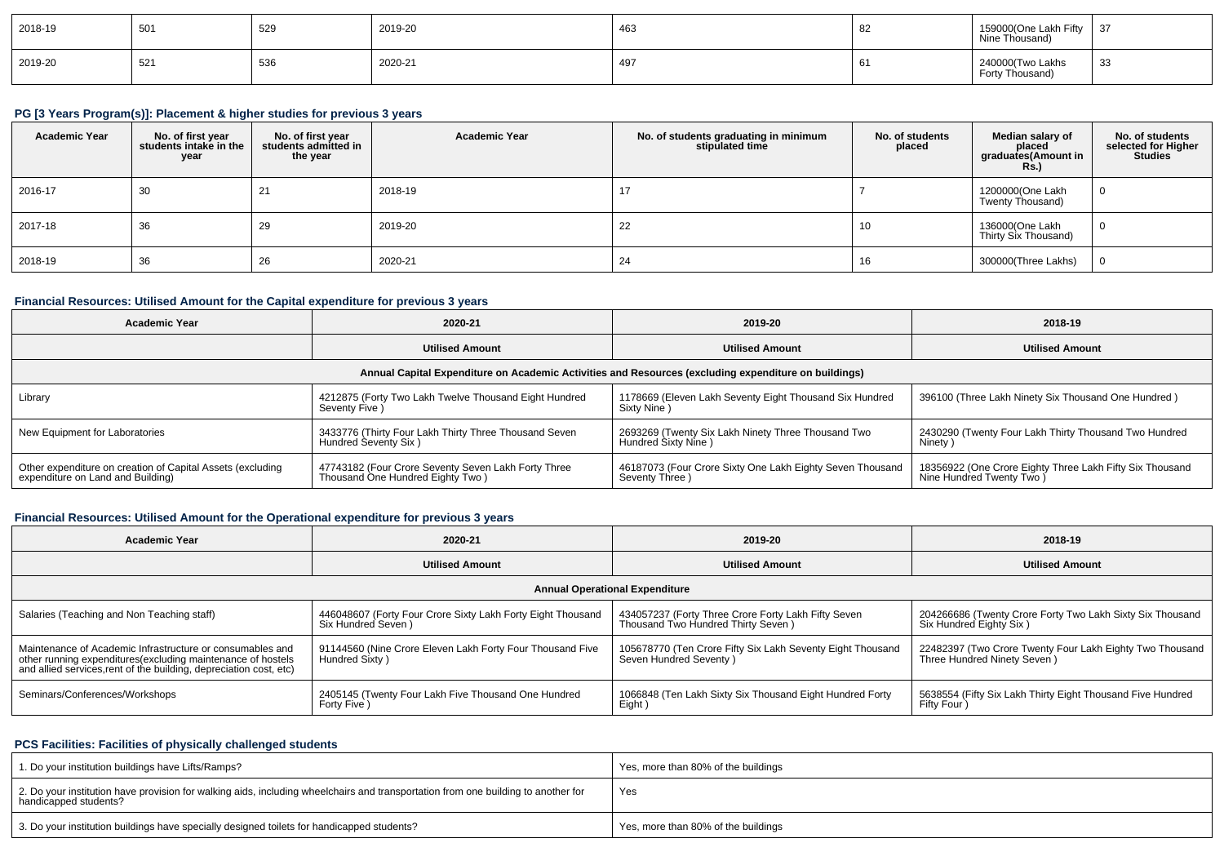| 2018-19 | 501 | 529 | 2019-20 | 463 | 82 | 159000(One Lakh Fifty<br>Nine Thousand) | 1.27<br>، ت ا |
|---------|-----|-----|---------|-----|----|-----------------------------------------|---------------|
| 2019-20 | 521 | 536 | 2020-21 | 497 | O. | 240000(Two Lakhs<br>Forty Thousand)     | 33            |

# **PG [3 Years Program(s)]: Placement & higher studies for previous 3 years**

| <b>Academic Year</b> | No. of first year<br>students intake in the<br>year | No. of first year<br>students admitted in<br>the year | <b>Academic Year</b> | No. of students graduating in minimum<br>stipulated time | No. of students<br>placed | Median salary of<br>placed<br>graduates(Amount in<br><b>Rs.</b> ) | No. of students<br>selected for Higher<br><b>Studies</b> |
|----------------------|-----------------------------------------------------|-------------------------------------------------------|----------------------|----------------------------------------------------------|---------------------------|-------------------------------------------------------------------|----------------------------------------------------------|
| 2016-17              | 30                                                  | 21                                                    | 2018-19              |                                                          |                           | 1200000(One Lakh<br>Twenty Thousand)                              | $\overline{0}$                                           |
| 2017-18              | 36                                                  | 29                                                    | 2019-20              | 22                                                       | 10                        | 136000(One Lakh<br>Thirty Six Thousand)                           | $\overline{0}$                                           |
| 2018-19              | 36                                                  | 26                                                    | 2020-21              | 24                                                       | 16                        | 300000(Three Lakhs)                                               | $\Omega$                                                 |

## **Financial Resources: Utilised Amount for the Capital expenditure for previous 3 years**

| Academic Year                                                                                        | 2020-21                                                                                 | 2019-20                                                                     | 2018-19                                                                               |  |  |  |  |  |  |  |
|------------------------------------------------------------------------------------------------------|-----------------------------------------------------------------------------------------|-----------------------------------------------------------------------------|---------------------------------------------------------------------------------------|--|--|--|--|--|--|--|
|                                                                                                      | <b>Utilised Amount</b>                                                                  | <b>Utilised Amount</b>                                                      | <b>Utilised Amount</b>                                                                |  |  |  |  |  |  |  |
| Annual Capital Expenditure on Academic Activities and Resources (excluding expenditure on buildings) |                                                                                         |                                                                             |                                                                                       |  |  |  |  |  |  |  |
| Library                                                                                              | 4212875 (Forty Two Lakh Twelve Thousand Eight Hundred<br>Seventy Five )                 | 1178669 (Eleven Lakh Seventy Eight Thousand Six Hundred<br>Sixty Nine)      | 396100 (Three Lakh Ninety Six Thousand One Hundred)                                   |  |  |  |  |  |  |  |
| New Equipment for Laboratories                                                                       | 3433776 (Thirty Four Lakh Thirty Three Thousand Seven<br>Hundred Seventy Six)           | 2693269 (Twenty Six Lakh Ninety Three Thousand Two<br>Hundred Sixty Nine)   | 2430290 (Twenty Four Lakh Thirty Thousand Two Hundred<br>Ninety)                      |  |  |  |  |  |  |  |
| Other expenditure on creation of Capital Assets (excluding<br>expenditure on Land and Building)      | 47743182 (Four Crore Seventy Seven Lakh Forty Three<br>Thousand One Hundred Eighty Two) | 46187073 (Four Crore Sixty One Lakh Eighty Seven Thousand<br>Seventy Three) | 18356922 (One Crore Eighty Three Lakh Fifty Six Thousand<br>Nine Hundred Twenty Two ) |  |  |  |  |  |  |  |

## **Financial Resources: Utilised Amount for the Operational expenditure for previous 3 years**

| <b>Academic Year</b>                                                                                                                                                                            | 2020-21                                                                            | 2019-20                                                                                   | 2018-19                                                                                  |  |  |  |  |  |  |  |  |
|-------------------------------------------------------------------------------------------------------------------------------------------------------------------------------------------------|------------------------------------------------------------------------------------|-------------------------------------------------------------------------------------------|------------------------------------------------------------------------------------------|--|--|--|--|--|--|--|--|
|                                                                                                                                                                                                 | <b>Utilised Amount</b>                                                             | <b>Utilised Amount</b>                                                                    | <b>Utilised Amount</b>                                                                   |  |  |  |  |  |  |  |  |
| <b>Annual Operational Expenditure</b>                                                                                                                                                           |                                                                                    |                                                                                           |                                                                                          |  |  |  |  |  |  |  |  |
| Salaries (Teaching and Non Teaching staff)                                                                                                                                                      | 446048607 (Forty Four Crore Sixty Lakh Forty Eight Thousand<br>Six Hundred Seven ) | 434057237 (Forty Three Crore Forty Lakh Fifty Seven<br>Thousand Two Hundred Thirty Seven) | 204266686 (Twenty Crore Forty Two Lakh Sixty Six Thousand<br>Six Hundred Eighty Six)     |  |  |  |  |  |  |  |  |
| Maintenance of Academic Infrastructure or consumables and<br>other running expenditures (excluding maintenance of hostels<br>and allied services, rent of the building, depreciation cost, etc) | 91144560 (Nine Crore Eleven Lakh Forty Four Thousand Five<br>Hundred Sixty)        | 105678770 (Ten Crore Fifty Six Lakh Seventy Eight Thousand<br>Seven Hundred Seventy)      | 22482397 (Two Crore Twenty Four Lakh Eighty Two Thousand<br>Three Hundred Ninety Seven ) |  |  |  |  |  |  |  |  |
| Seminars/Conferences/Workshops                                                                                                                                                                  | 2405145 (Twenty Four Lakh Five Thousand One Hundred<br>Forty Five)                 | 1066848 (Ten Lakh Sixty Six Thousand Eight Hundred Forty<br>Eight)                        | 5638554 (Fifty Six Lakh Thirty Eight Thousand Five Hundred<br>Fifty Four                 |  |  |  |  |  |  |  |  |

## **PCS Facilities: Facilities of physically challenged students**

| 1. Do your institution buildings have Lifts/Ramps?                                                                                                         | Yes, more than 80% of the buildings |
|------------------------------------------------------------------------------------------------------------------------------------------------------------|-------------------------------------|
| 2. Do your institution have provision for walking aids, including wheelchairs and transportation from one building to another for<br>handicapped students? | Yes                                 |
| 3. Do your institution buildings have specially designed toilets for handicapped students?                                                                 | Yes, more than 80% of the buildings |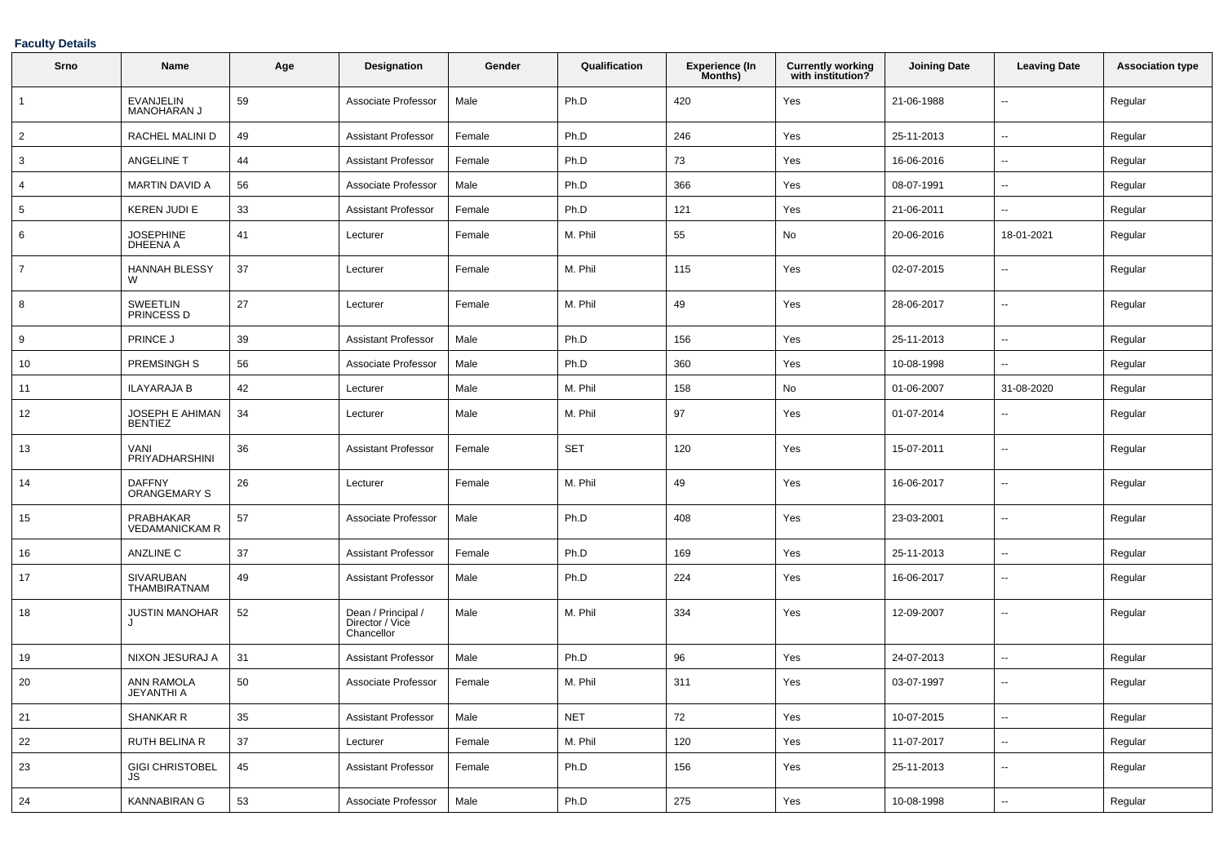### **Faculty Details**

| Srno           | Name                                 | Age | Designation                                         | Gender | Qualification | <b>Experience (In</b><br>Months) | <b>Currently working</b><br>with institution? | <b>Joining Date</b> | <b>Leaving Date</b>         | <b>Association type</b> |
|----------------|--------------------------------------|-----|-----------------------------------------------------|--------|---------------|----------------------------------|-----------------------------------------------|---------------------|-----------------------------|-------------------------|
| $\mathbf{1}$   | <b>EVANJELIN</b><br>MANOHARAN J      | 59  | Associate Professor                                 | Male   | Ph.D          | 420                              | Yes                                           | 21-06-1988          | $\ddot{\phantom{a}}$        | Regular                 |
| $\overline{2}$ | RACHEL MALINI D                      | 49  | <b>Assistant Professor</b>                          | Female | Ph.D          | 246                              | Yes                                           | 25-11-2013          | $\ddotsc$                   | Regular                 |
| 3              | ANGELINE T                           | 44  | <b>Assistant Professor</b>                          | Female | Ph.D          | 73                               | Yes                                           | 16-06-2016          | $\sim$                      | Regular                 |
| $\overline{4}$ | <b>MARTIN DAVID A</b>                | 56  | Associate Professor                                 | Male   | Ph.D          | 366                              | Yes                                           | 08-07-1991          | $\sim$                      | Regular                 |
| 5              | <b>KEREN JUDI E</b>                  | 33  | <b>Assistant Professor</b>                          | Female | Ph.D          | 121                              | Yes                                           | 21-06-2011          | $\mathbf{u}$                | Regular                 |
| 6              | <b>JOSEPHINE</b><br><b>DHEENA A</b>  | 41  | Lecturer                                            | Female | M. Phil       | 55                               | No                                            | 20-06-2016          | 18-01-2021                  | Regular                 |
| $\overline{7}$ | <b>HANNAH BLESSY</b><br>W            | 37  | Lecturer                                            | Female | M. Phil       | 115                              | Yes                                           | 02-07-2015          | $\sim$                      | Regular                 |
| 8              | <b>SWEETLIN</b><br>PRINCESS D        | 27  | Lecturer                                            | Female | M. Phil       | 49                               | Yes                                           | 28-06-2017          | $\sim$                      | Regular                 |
| 9              | <b>PRINCE J</b>                      | 39  | <b>Assistant Professor</b>                          | Male   | Ph.D          | 156                              | Yes                                           | 25-11-2013          | $\overline{a}$              | Regular                 |
| 10             | <b>PREMSINGH S</b>                   | 56  | Associate Professor                                 | Male   | Ph.D          | 360                              | Yes                                           | 10-08-1998          | $\mathcal{L}_{\mathcal{A}}$ | Regular                 |
| 11             | <b>ILAYARAJA B</b>                   | 42  | Lecturer                                            | Male   | M. Phil       | 158                              | No                                            | 01-06-2007          | 31-08-2020                  | Regular                 |
| 12             | JOSEPH E AHIMAN<br><b>BENTIEZ</b>    | 34  | Lecturer                                            | Male   | M. Phil       | 97                               | Yes                                           | 01-07-2014          | $\overline{a}$              | Regular                 |
| 13             | VANI<br>PRIYADHARSHINI               | 36  | <b>Assistant Professor</b>                          | Female | <b>SET</b>    | 120                              | Yes                                           | 15-07-2011          | $\sim$                      | Regular                 |
| 14             | <b>DAFFNY</b><br><b>ORANGEMARY S</b> | 26  | Lecturer                                            | Female | M. Phil       | 49                               | Yes                                           | 16-06-2017          | $\overline{\phantom{a}}$    | Regular                 |
| 15             | PRABHAKAR<br><b>VEDAMANICKAM R</b>   | 57  | Associate Professor                                 | Male   | Ph.D          | 408                              | Yes                                           | 23-03-2001          | $\ddotsc$                   | Regular                 |
| 16             | ANZLINE C                            | 37  | Assistant Professor                                 | Female | Ph.D          | 169                              | Yes                                           | 25-11-2013          | $\overline{\phantom{a}}$    | Regular                 |
| 17             | <b>SIVARUBAN</b><br>THAMBIRATNAM     | 49  | <b>Assistant Professor</b>                          | Male   | Ph.D          | 224                              | Yes                                           | 16-06-2017          | $\ddot{\phantom{a}}$        | Regular                 |
| 18             | <b>JUSTIN MANOHAR</b>                | 52  | Dean / Principal /<br>Director / Vice<br>Chancellor | Male   | M. Phil       | 334                              | Yes                                           | 12-09-2007          | $\ddotsc$                   | Regular                 |
| 19             | NIXON JESURAJ A                      | 31  | <b>Assistant Professor</b>                          | Male   | Ph.D          | 96                               | Yes                                           | 24-07-2013          | $\sim$                      | Regular                 |
| 20             | ANN RAMOLA<br><b>JEYANTHI A</b>      | 50  | Associate Professor                                 | Female | M. Phil       | 311                              | Yes                                           | 03-07-1997          | $\sim$                      | Regular                 |
| 21             | <b>SHANKAR R</b>                     | 35  | <b>Assistant Professor</b>                          | Male   | <b>NET</b>    | 72                               | Yes                                           | 10-07-2015          | $\sim$                      | Regular                 |
| 22             | <b>RUTH BELINA R</b>                 | 37  | Lecturer                                            | Female | M. Phil       | 120                              | Yes                                           | 11-07-2017          | $\overline{\phantom{a}}$    | Regular                 |
| 23             | GIGI CHRISTOBEL<br>JS                | 45  | Assistant Professor                                 | Female | Ph.D          | 156                              | Yes                                           | 25-11-2013          | $\sim$                      | Regular                 |
| 24             | <b>KANNABIRAN G</b>                  | 53  | Associate Professor                                 | Male   | Ph.D          | 275                              | Yes                                           | 10-08-1998          | $\sim$                      | Regular                 |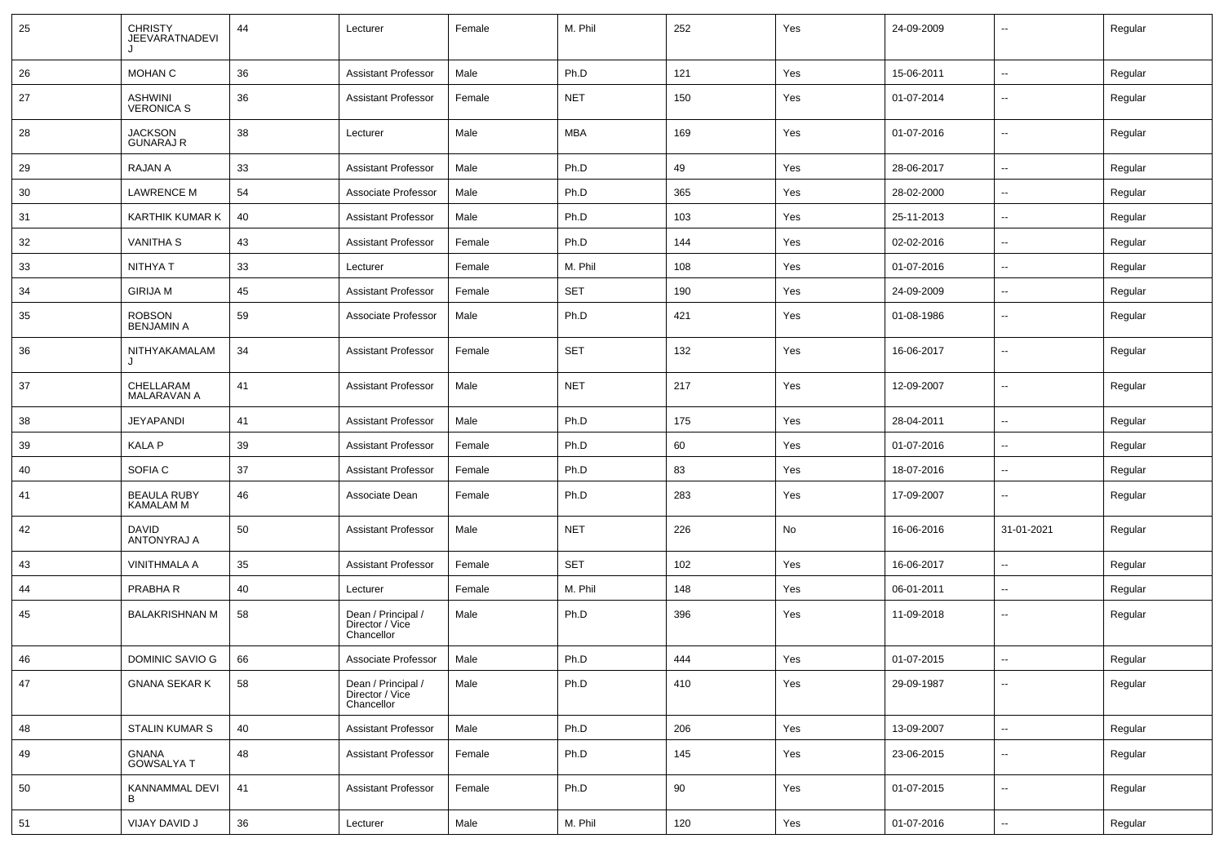| 25 | <b>CHRISTY</b><br>JEEVARATNADEVI       | 44 | Lecturer                                            | Female | M. Phil    | 252 | Yes | 24-09-2009 | --                       | Regular |
|----|----------------------------------------|----|-----------------------------------------------------|--------|------------|-----|-----|------------|--------------------------|---------|
| 26 | MOHAN C                                | 36 | <b>Assistant Professor</b>                          | Male   | Ph.D       | 121 | Yes | 15-06-2011 | $\sim$                   | Regular |
| 27 | <b>ASHWINI</b><br><b>VERONICA S</b>    | 36 | <b>Assistant Professor</b>                          | Female | <b>NET</b> | 150 | Yes | 01-07-2014 | ⊷.                       | Regular |
| 28 | <b>JACKSON</b><br><b>GUNARAJ R</b>     | 38 | Lecturer                                            | Male   | <b>MBA</b> | 169 | Yes | 01-07-2016 | ⊷.                       | Regular |
| 29 | RAJAN A                                | 33 | <b>Assistant Professor</b>                          | Male   | Ph.D       | 49  | Yes | 28-06-2017 | ⊷.                       | Regular |
| 30 | <b>LAWRENCE M</b>                      | 54 | Associate Professor                                 | Male   | Ph.D       | 365 | Yes | 28-02-2000 | $\overline{\phantom{a}}$ | Regular |
| 31 | KARTHIK KUMAR K                        | 40 | <b>Assistant Professor</b>                          | Male   | Ph.D       | 103 | Yes | 25-11-2013 | --                       | Regular |
| 32 | <b>VANITHA S</b>                       | 43 | <b>Assistant Professor</b>                          | Female | Ph.D       | 144 | Yes | 02-02-2016 | --                       | Regular |
| 33 | NITHYA T                               | 33 | Lecturer                                            | Female | M. Phil    | 108 | Yes | 01-07-2016 | $\sim$                   | Regular |
| 34 | <b>GIRIJA M</b>                        | 45 | <b>Assistant Professor</b>                          | Female | <b>SET</b> | 190 | Yes | 24-09-2009 | ⊶.                       | Regular |
| 35 | <b>ROBSON</b><br><b>BENJAMIN A</b>     | 59 | Associate Professor                                 | Male   | Ph.D       | 421 | Yes | 01-08-1986 | ⊷.                       | Regular |
| 36 | NITHYAKAMALAM                          | 34 | <b>Assistant Professor</b>                          | Female | <b>SET</b> | 132 | Yes | 16-06-2017 | $\overline{\phantom{a}}$ | Regular |
| 37 | CHELLARAM<br><b>MALARAVAN A</b>        | 41 | <b>Assistant Professor</b>                          | Male   | <b>NET</b> | 217 | Yes | 12-09-2007 | ⊷.                       | Regular |
| 38 | JEYAPANDI                              | 41 | <b>Assistant Professor</b>                          | Male   | Ph.D       | 175 | Yes | 28-04-2011 | ⊶.                       | Regular |
| 39 | <b>KALA P</b>                          | 39 | <b>Assistant Professor</b>                          | Female | Ph.D       | 60  | Yes | 01-07-2016 | ⊷.                       | Regular |
| 40 | SOFIA C                                | 37 | <b>Assistant Professor</b>                          | Female | Ph.D       | 83  | Yes | 18-07-2016 | ⊶.                       | Regular |
| 41 | <b>BEAULA RUBY</b><br><b>KAMALAM M</b> | 46 | Associate Dean                                      | Female | Ph.D       | 283 | Yes | 17-09-2007 | н.                       | Regular |
| 42 | <b>DAVID</b><br><b>ANTONYRAJ A</b>     | 50 | <b>Assistant Professor</b>                          | Male   | <b>NET</b> | 226 | No  | 16-06-2016 | 31-01-2021               | Regular |
| 43 | <b>VINITHMALA A</b>                    | 35 | <b>Assistant Professor</b>                          | Female | <b>SET</b> | 102 | Yes | 16-06-2017 | --                       | Regular |
| 44 | PRABHA R                               | 40 | Lecturer                                            | Female | M. Phil    | 148 | Yes | 06-01-2011 | ⊷.                       | Regular |
| 45 | <b>BALAKRISHNAN M</b>                  | 58 | Dean / Principal /<br>Director / Vice<br>Chancellor | Male   | Ph.D       | 396 | Yes | 11-09-2018 | ⊷.                       | Regular |
| 46 | DOMINIC SAVIO G                        | 66 | Associate Professor                                 | Male   | Ph.D       | 444 | Yes | 01-07-2015 | $\overline{\phantom{a}}$ | Regular |
| 47 | <b>GNANA SEKAR K</b>                   | 58 | Dean / Principal /<br>Director / Vice<br>Chancellor | Male   | Ph.D       | 410 | Yes | 29-09-1987 | ⊶.                       | Regular |
| 48 | STALIN KUMAR S                         | 40 | <b>Assistant Professor</b>                          | Male   | Ph.D       | 206 | Yes | 13-09-2007 | Щ,                       | Regular |
| 49 | <b>GNANA</b><br><b>GOWSALYA T</b>      | 48 | <b>Assistant Professor</b>                          | Female | Ph.D       | 145 | Yes | 23-06-2015 | $\overline{\phantom{a}}$ | Regular |
| 50 | KANNAMMAL DEVI<br>B                    | 41 | <b>Assistant Professor</b>                          | Female | Ph.D       | 90  | Yes | 01-07-2015 | $\overline{\phantom{a}}$ | Regular |
| 51 | VIJAY DAVID J                          | 36 | Lecturer                                            | Male   | M. Phil    | 120 | Yes | 01-07-2016 | $\sim$                   | Regular |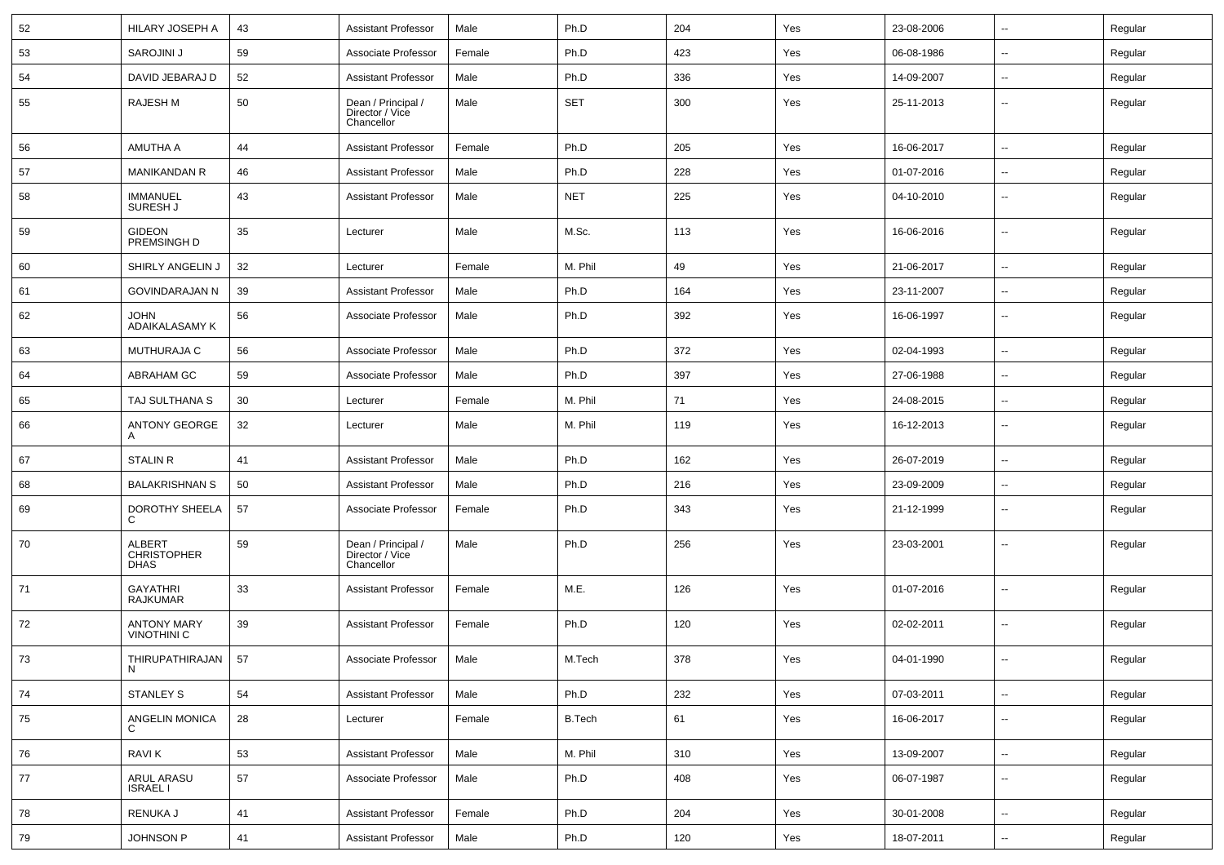| 52 | HILARY JOSEPH A                                    | 43 | <b>Assistant Professor</b>                          | Male   | Ph.D       | 204 | Yes | 23-08-2006 | $\overline{\phantom{a}}$ | Regular |
|----|----------------------------------------------------|----|-----------------------------------------------------|--------|------------|-----|-----|------------|--------------------------|---------|
| 53 | SAROJINI J                                         | 59 | Associate Professor                                 | Female | Ph.D       | 423 | Yes | 06-08-1986 | $\overline{\phantom{a}}$ | Regular |
| 54 | DAVID JEBARAJ D                                    | 52 | <b>Assistant Professor</b>                          | Male   | Ph.D       | 336 | Yes | 14-09-2007 | $-$                      | Regular |
| 55 | <b>RAJESH M</b>                                    | 50 | Dean / Principal /<br>Director / Vice<br>Chancellor | Male   | <b>SET</b> | 300 | Yes | 25-11-2013 | --                       | Regular |
| 56 | AMUTHA A                                           | 44 | <b>Assistant Professor</b>                          | Female | Ph.D       | 205 | Yes | 16-06-2017 | $\overline{\phantom{a}}$ | Regular |
| 57 | <b>MANIKANDAN R</b>                                | 46 | <b>Assistant Professor</b>                          | Male   | Ph.D       | 228 | Yes | 01-07-2016 | --                       | Regular |
| 58 | <b>IMMANUEL</b><br>SURESH J                        | 43 | <b>Assistant Professor</b>                          | Male   | <b>NET</b> | 225 | Yes | 04-10-2010 | --                       | Regular |
| 59 | <b>GIDEON</b><br>PREMSINGH D                       | 35 | Lecturer                                            | Male   | M.Sc.      | 113 | Yes | 16-06-2016 | н.                       | Regular |
| 60 | SHIRLY ANGELIN J                                   | 32 | Lecturer                                            | Female | M. Phil    | 49  | Yes | 21-06-2017 | -−                       | Regular |
| 61 | <b>GOVINDARAJAN N</b>                              | 39 | <b>Assistant Professor</b>                          | Male   | Ph.D       | 164 | Yes | 23-11-2007 | $\overline{\phantom{a}}$ | Regular |
| 62 | <b>JOHN</b><br>ADAIKALASAMY K                      | 56 | Associate Professor                                 | Male   | Ph.D       | 392 | Yes | 16-06-1997 | ⊷.                       | Regular |
| 63 | <b>MUTHURAJA C</b>                                 | 56 | Associate Professor                                 | Male   | Ph.D       | 372 | Yes | 02-04-1993 | $\overline{\phantom{a}}$ | Regular |
| 64 | ABRAHAM GC                                         | 59 | Associate Professor                                 | Male   | Ph.D       | 397 | Yes | 27-06-1988 | ⊷.                       | Regular |
| 65 | TAJ SULTHANA S                                     | 30 | Lecturer                                            | Female | M. Phil    | 71  | Yes | 24-08-2015 | ⊷.                       | Regular |
| 66 | ANTONY GEORGE<br>A                                 | 32 | Lecturer                                            | Male   | M. Phil    | 119 | Yes | 16-12-2013 | --                       | Regular |
| 67 | <b>STALIN R</b>                                    | 41 | <b>Assistant Professor</b>                          | Male   | Ph.D       | 162 | Yes | 26-07-2019 | --                       | Regular |
| 68 | <b>BALAKRISHNAN S</b>                              | 50 | <b>Assistant Professor</b>                          | Male   | Ph.D       | 216 | Yes | 23-09-2009 | --                       | Regular |
| 69 | DOROTHY SHEELA<br>C                                | 57 | Associate Professor                                 | Female | Ph.D       | 343 | Yes | 21-12-1999 | --                       | Regular |
| 70 | <b>ALBERT</b><br><b>CHRISTOPHER</b><br><b>DHAS</b> | 59 | Dean / Principal /<br>Director / Vice<br>Chancellor | Male   | Ph.D       | 256 | Yes | 23-03-2001 | $\overline{\phantom{a}}$ | Regular |
| 71 | <b>GAYATHRI</b><br><b>RAJKUMAR</b>                 | 33 | <b>Assistant Professor</b>                          | Female | M.E.       | 126 | Yes | 01-07-2016 | --                       | Regular |
| 72 | <b>ANTONY MARY</b><br><b>VINOTHINI C</b>           | 39 | <b>Assistant Professor</b>                          | Female | Ph.D       | 120 | Yes | 02-02-2011 | -−                       | Regular |
| 73 | THIRUPATHIRAJAN<br>N                               | 57 | Associate Professor                                 | Male   | M.Tech     | 378 | Yes | 04-01-1990 | --                       | Regular |
| 74 | <b>STANLEY S</b>                                   | 54 | Assistant Professor                                 | Male   | Ph.D       | 232 | Yes | 07-03-2011 | $\sim$                   | Regular |
| 75 | ANGELIN MONICA<br>C                                | 28 | Lecturer                                            | Female | B.Tech     | 61  | Yes | 16-06-2017 | Щ,                       | Regular |
| 76 | <b>RAVIK</b>                                       | 53 | <b>Assistant Professor</b>                          | Male   | M. Phil    | 310 | Yes | 13-09-2007 | Щ,                       | Regular |
| 77 | ARUL ARASU<br><b>ISRAEL I</b>                      | 57 | Associate Professor                                 | Male   | Ph.D       | 408 | Yes | 06-07-1987 | $\overline{\phantom{a}}$ | Regular |
| 78 | RENUKA J                                           | 41 | <b>Assistant Professor</b>                          | Female | Ph.D       | 204 | Yes | 30-01-2008 | $\overline{\phantom{a}}$ | Regular |
| 79 | JOHNSON P                                          | 41 | Assistant Professor                                 | Male   | Ph.D       | 120 | Yes | 18-07-2011 | н,                       | Regular |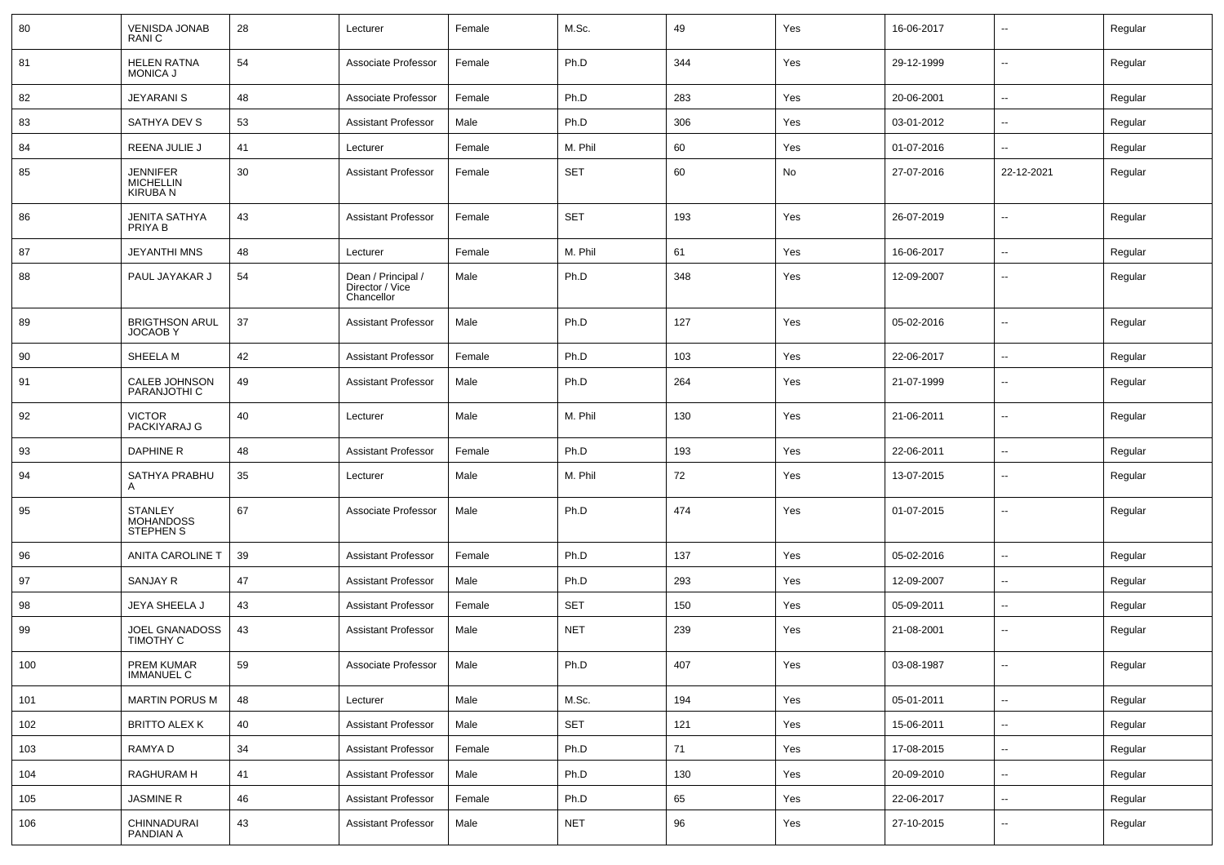| 80  | <b>VENISDA JONAB</b><br>RANI C                        | 28 | Lecturer                                            | Female | M.Sc.      | 49  | Yes | 16-06-2017 | $\overline{\phantom{a}}$ | Regular |
|-----|-------------------------------------------------------|----|-----------------------------------------------------|--------|------------|-----|-----|------------|--------------------------|---------|
| 81  | <b>HELEN RATNA</b><br><b>MONICA J</b>                 | 54 | Associate Professor                                 | Female | Ph.D       | 344 | Yes | 29-12-1999 | $\overline{\phantom{a}}$ | Regular |
| 82  | <b>JEYARANI S</b>                                     | 48 | Associate Professor                                 | Female | Ph.D       | 283 | Yes | 20-06-2001 | $\overline{\phantom{a}}$ | Regular |
| 83  | SATHYA DEV S                                          | 53 | <b>Assistant Professor</b>                          | Male   | Ph.D       | 306 | Yes | 03-01-2012 | $\overline{\phantom{a}}$ | Regular |
| 84  | REENA JULIE J                                         | 41 | Lecturer                                            | Female | M. Phil    | 60  | Yes | 01-07-2016 | $\mathbf{u}$             | Regular |
| 85  | <b>JENNIFER</b><br><b>MICHELLIN</b><br><b>KIRUBAN</b> | 30 | <b>Assistant Professor</b>                          | Female | <b>SET</b> | 60  | No  | 27-07-2016 | 22-12-2021               | Regular |
| 86  | JENITA SATHYA<br>PRIYA B                              | 43 | <b>Assistant Professor</b>                          | Female | <b>SET</b> | 193 | Yes | 26-07-2019 | $\mathbf{u}$             | Regular |
| 87  | JEYANTHI MNS                                          | 48 | Lecturer                                            | Female | M. Phil    | 61  | Yes | 16-06-2017 | $\mathbf{u}$             | Regular |
| 88  | PAUL JAYAKAR J                                        | 54 | Dean / Principal /<br>Director / Vice<br>Chancellor | Male   | Ph.D       | 348 | Yes | 12-09-2007 | $\overline{\phantom{a}}$ | Regular |
| 89  | <b>BRIGTHSON ARUL</b><br><b>JOCAOBY</b>               | 37 | <b>Assistant Professor</b>                          | Male   | Ph.D       | 127 | Yes | 05-02-2016 | $\overline{\phantom{a}}$ | Regular |
| 90  | SHEELA M                                              | 42 | <b>Assistant Professor</b>                          | Female | Ph.D       | 103 | Yes | 22-06-2017 | $\mathbf{u}$             | Regular |
| 91  | CALEB JOHNSON<br>PARANJOTHI C                         | 49 | Assistant Professor                                 | Male   | Ph.D       | 264 | Yes | 21-07-1999 | $\overline{\phantom{a}}$ | Regular |
| 92  | <b>VICTOR</b><br>PACKIYARAJ G                         | 40 | Lecturer                                            | Male   | M. Phil    | 130 | Yes | 21-06-2011 | $\overline{\phantom{a}}$ | Regular |
| 93  | <b>DAPHINE R</b>                                      | 48 | <b>Assistant Professor</b>                          | Female | Ph.D       | 193 | Yes | 22-06-2011 | $\overline{\phantom{a}}$ | Regular |
| 94  | SATHYA PRABHU<br>A                                    | 35 | Lecturer                                            | Male   | M. Phil    | 72  | Yes | 13-07-2015 | $\overline{\phantom{a}}$ | Regular |
| 95  | <b>STANLEY</b><br>MOHANDOSS<br><b>STEPHEN S</b>       | 67 | Associate Professor                                 | Male   | Ph.D       | 474 | Yes | 01-07-2015 | $\overline{\phantom{a}}$ | Regular |
| 96  | <b>ANITA CAROLINE T</b>                               | 39 | <b>Assistant Professor</b>                          | Female | Ph.D       | 137 | Yes | 05-02-2016 | $\overline{\phantom{a}}$ | Regular |
| 97  | <b>SANJAY R</b>                                       | 47 | <b>Assistant Professor</b>                          | Male   | Ph.D       | 293 | Yes | 12-09-2007 | $\overline{\phantom{a}}$ | Regular |
| 98  | JEYA SHEELA J                                         | 43 | <b>Assistant Professor</b>                          | Female | <b>SET</b> | 150 | Yes | 05-09-2011 | $\mathbf{u}$             | Regular |
| 99  | JOEL GNANADOSS<br><b>TIMOTHY C</b>                    | 43 | <b>Assistant Professor</b>                          | Male   | <b>NET</b> | 239 | Yes | 21-08-2001 | $\overline{\phantom{a}}$ | Regular |
| 100 | <b>PREM KUMAR</b><br><b>IMMANUEL C</b>                | 59 | Associate Professor                                 | Male   | Ph.D       | 407 | Yes | 03-08-1987 | $\overline{\phantom{a}}$ | Regular |
| 101 | <b>MARTIN PORUS M</b>                                 | 48 | Lecturer                                            | Male   | M.Sc.      | 194 | Yes | 05-01-2011 | $\sim$                   | Regular |
| 102 | <b>BRITTO ALEX K</b>                                  | 40 | <b>Assistant Professor</b>                          | Male   | SET        | 121 | Yes | 15-06-2011 | $\sim$                   | Regular |
| 103 | RAMYA D                                               | 34 | Assistant Professor                                 | Female | Ph.D       | 71  | Yes | 17-08-2015 | $\overline{\phantom{a}}$ | Regular |
| 104 | RAGHURAM H                                            | 41 | <b>Assistant Professor</b>                          | Male   | Ph.D       | 130 | Yes | 20-09-2010 | $\sim$                   | Regular |
| 105 | JASMINE R                                             | 46 | <b>Assistant Professor</b>                          | Female | Ph.D       | 65  | Yes | 22-06-2017 | $\overline{\phantom{a}}$ | Regular |
| 106 | CHINNADURAI<br>PANDIAN A                              | 43 | <b>Assistant Professor</b>                          | Male   | NET        | 96  | Yes | 27-10-2015 | $\overline{\phantom{a}}$ | Regular |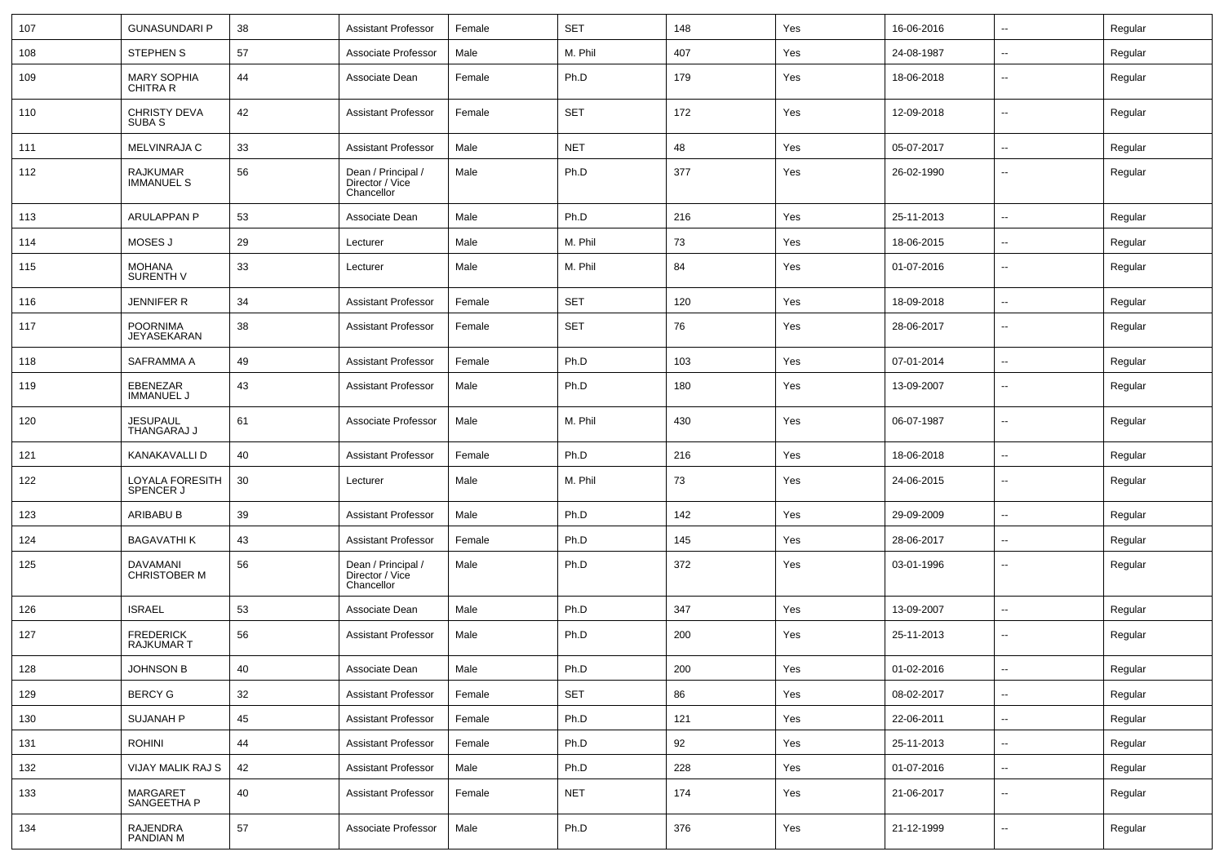| 107 | <b>GUNASUNDARI P</b>                     | 38 | <b>Assistant Professor</b>                          | Female | <b>SET</b> | 148 | Yes | 16-06-2016 | $\sim$                   | Regular |
|-----|------------------------------------------|----|-----------------------------------------------------|--------|------------|-----|-----|------------|--------------------------|---------|
| 108 | <b>STEPHEN S</b>                         | 57 | Associate Professor                                 | Male   | M. Phil    | 407 | Yes | 24-08-1987 | ⊷.                       | Regular |
| 109 | <b>MARY SOPHIA</b><br>CHITRA R           | 44 | Associate Dean                                      | Female | Ph.D       | 179 | Yes | 18-06-2018 | $\overline{\phantom{a}}$ | Regular |
| 110 | <b>CHRISTY DEVA</b><br>SUBA <sub>S</sub> | 42 | <b>Assistant Professor</b>                          | Female | <b>SET</b> | 172 | Yes | 12-09-2018 | $\overline{\phantom{a}}$ | Regular |
| 111 | MELVINRAJA C                             | 33 | <b>Assistant Professor</b>                          | Male   | <b>NET</b> | 48  | Yes | 05-07-2017 | $\sim$                   | Regular |
| 112 | <b>RAJKUMAR</b><br><b>IMMANUEL S</b>     | 56 | Dean / Principal /<br>Director / Vice<br>Chancellor | Male   | Ph.D       | 377 | Yes | 26-02-1990 | --                       | Regular |
| 113 | <b>ARULAPPAN P</b>                       | 53 | Associate Dean                                      | Male   | Ph.D       | 216 | Yes | 25-11-2013 | $\overline{\phantom{a}}$ | Regular |
| 114 | MOSES J                                  | 29 | Lecturer                                            | Male   | M. Phil    | 73  | Yes | 18-06-2015 | $\overline{\phantom{a}}$ | Regular |
| 115 | <b>MOHANA</b><br><b>SURENTH V</b>        | 33 | Lecturer                                            | Male   | M. Phil    | 84  | Yes | 01-07-2016 | $\overline{\phantom{a}}$ | Regular |
| 116 | <b>JENNIFER R</b>                        | 34 | <b>Assistant Professor</b>                          | Female | <b>SET</b> | 120 | Yes | 18-09-2018 | $\overline{\phantom{a}}$ | Regular |
| 117 | <b>POORNIMA</b><br>JEYASEKARAN           | 38 | <b>Assistant Professor</b>                          | Female | <b>SET</b> | 76  | Yes | 28-06-2017 | $\overline{a}$           | Regular |
| 118 | SAFRAMMA A                               | 49 | <b>Assistant Professor</b>                          | Female | Ph.D       | 103 | Yes | 07-01-2014 | $\overline{\phantom{a}}$ | Regular |
| 119 | EBENEZAR<br><b>IMMANUEL J</b>            | 43 | <b>Assistant Professor</b>                          | Male   | Ph.D       | 180 | Yes | 13-09-2007 | $\overline{\phantom{a}}$ | Regular |
| 120 | <b>JESUPAUL</b><br>THANGARAJ J           | 61 | Associate Professor                                 | Male   | M. Phil    | 430 | Yes | 06-07-1987 | $\overline{\phantom{a}}$ | Regular |
| 121 | KANAKAVALLI D                            | 40 | <b>Assistant Professor</b>                          | Female | Ph.D       | 216 | Yes | 18-06-2018 | $\sim$                   | Regular |
| 122 | LOYALA FORESITH<br><b>SPENCER J</b>      | 30 | Lecturer                                            | Male   | M. Phil    | 73  | Yes | 24-06-2015 | $\overline{\phantom{a}}$ | Regular |
| 123 | ARIBABU B                                | 39 | <b>Assistant Professor</b>                          | Male   | Ph.D       | 142 | Yes | 29-09-2009 | $\overline{\phantom{a}}$ | Regular |
| 124 | <b>BAGAVATHI K</b>                       | 43 | Assistant Professor                                 | Female | Ph.D       | 145 | Yes | 28-06-2017 | $\sim$                   | Regular |
| 125 | <b>DAVAMANI</b><br><b>CHRISTOBER M</b>   | 56 | Dean / Principal /<br>Director / Vice<br>Chancellor | Male   | Ph.D       | 372 | Yes | 03-01-1996 | $\overline{\phantom{a}}$ | Regular |
| 126 | <b>ISRAEL</b>                            | 53 | Associate Dean                                      | Male   | Ph.D       | 347 | Yes | 13-09-2007 | $\sim$                   | Regular |
| 127 | <b>FREDERICK</b><br>RAJKUMAR T           | 56 | <b>Assistant Professor</b>                          | Male   | Ph.D       | 200 | Yes | 25-11-2013 | $\overline{\phantom{a}}$ | Regular |
| 128 | JOHNSON B                                | 40 | Associate Dean                                      | Male   | Ph.D       | 200 | Yes | 01-02-2016 |                          | Regular |
| 129 | <b>BERCY G</b>                           | 32 | Assistant Professor                                 | Female | SET        | 86  | Yes | 08-02-2017 | $\sim$                   | Regular |
| 130 | SUJANAH P                                | 45 | <b>Assistant Professor</b>                          | Female | Ph.D       | 121 | Yes | 22-06-2011 | $\sim$                   | Regular |
| 131 | <b>ROHINI</b>                            | 44 | <b>Assistant Professor</b>                          | Female | Ph.D       | 92  | Yes | 25-11-2013 | $\sim$                   | Regular |
| 132 | VIJAY MALIK RAJ S                        | 42 | <b>Assistant Professor</b>                          | Male   | Ph.D       | 228 | Yes | 01-07-2016 | $\overline{\phantom{a}}$ | Regular |
| 133 | MARGARET<br>SANGEETHA P                  | 40 | <b>Assistant Professor</b>                          | Female | <b>NET</b> | 174 | Yes | 21-06-2017 | ₩,                       | Regular |
| 134 | RAJENDRA<br>PANDIAN M                    | 57 | Associate Professor                                 | Male   | Ph.D       | 376 | Yes | 21-12-1999 | $\sim$                   | Regular |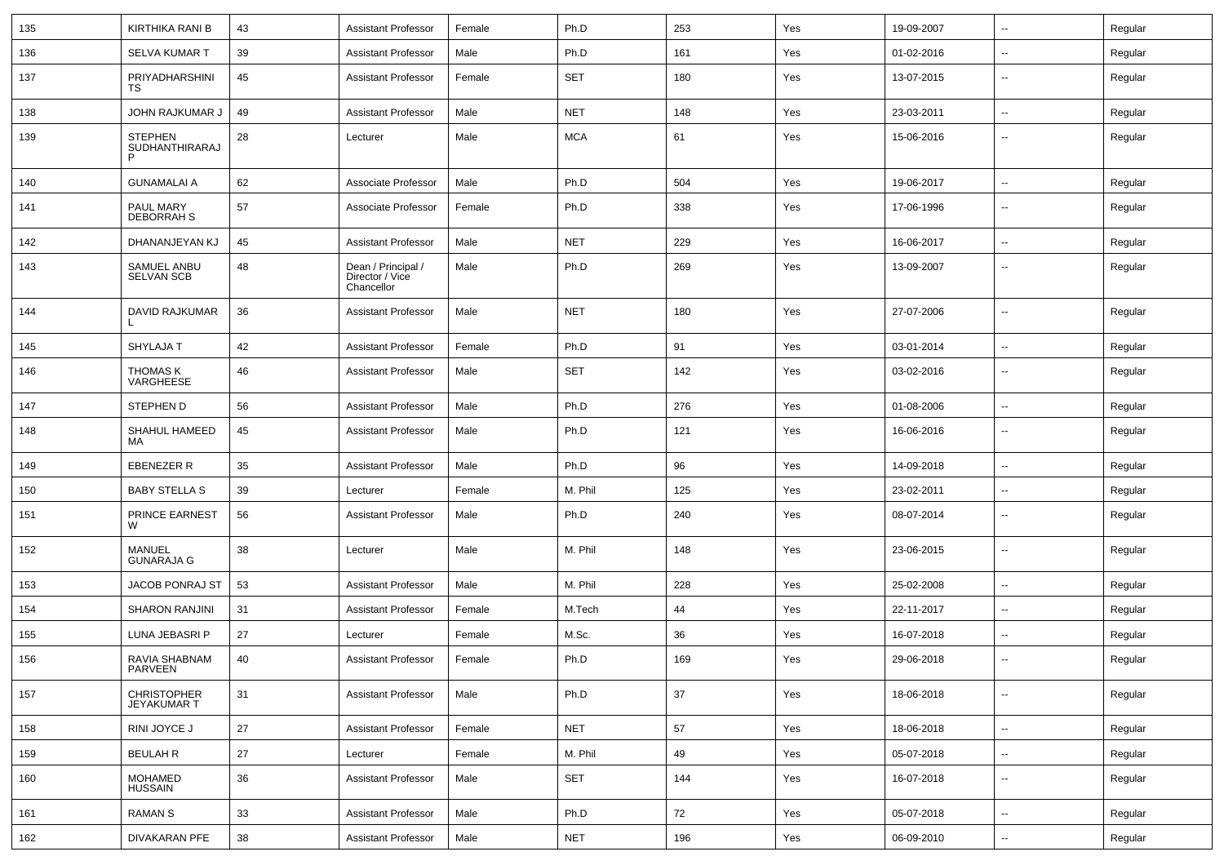| 135 | KIRTHIKA RANI B                       | 43     | <b>Assistant Professor</b>                          | Female | Ph.D       | 253 | Yes | 19-09-2007 | $\sim$                   | Regular |
|-----|---------------------------------------|--------|-----------------------------------------------------|--------|------------|-----|-----|------------|--------------------------|---------|
| 136 | <b>SELVA KUMAR T</b>                  | 39     | <b>Assistant Professor</b>                          | Male   | Ph.D       | 161 | Yes | 01-02-2016 | ۰.                       | Regular |
| 137 | PRIYADHARSHINI<br>TS                  | 45     | <b>Assistant Professor</b>                          | Female | <b>SET</b> | 180 | Yes | 13-07-2015 | ۰.                       | Regular |
| 138 | JOHN RAJKUMAR J                       | 49     | <b>Assistant Professor</b>                          | Male   | <b>NET</b> | 148 | Yes | 23-03-2011 | $\overline{\phantom{a}}$ | Regular |
| 139 | <b>STEPHEN</b><br>SUDHANTHIRARAJ<br>P | 28     | Lecturer                                            | Male   | <b>MCA</b> | 61  | Yes | 15-06-2016 | --                       | Regular |
| 140 | <b>GUNAMALAI A</b>                    | 62     | Associate Professor                                 | Male   | Ph.D       | 504 | Yes | 19-06-2017 | $\overline{\phantom{a}}$ | Regular |
| 141 | PAUL MARY<br>DEBORRAH S               | 57     | Associate Professor                                 | Female | Ph.D       | 338 | Yes | 17-06-1996 | --                       | Regular |
| 142 | DHANANJEYAN KJ                        | 45     | <b>Assistant Professor</b>                          | Male   | <b>NET</b> | 229 | Yes | 16-06-2017 | $\overline{\phantom{a}}$ | Regular |
| 143 | SAMUEL ANBU<br><b>SELVAN SCB</b>      | 48     | Dean / Principal /<br>Director / Vice<br>Chancellor | Male   | Ph.D       | 269 | Yes | 13-09-2007 |                          | Regular |
| 144 | DAVID RAJKUMAR                        | 36     | <b>Assistant Professor</b>                          | Male   | <b>NET</b> | 180 | Yes | 27-07-2006 | --                       | Regular |
| 145 | <b>SHYLAJAT</b>                       | 42     | <b>Assistant Professor</b>                          | Female | Ph.D       | 91  | Yes | 03-01-2014 | --                       | Regular |
| 146 | <b>THOMAS K</b><br>VARGHEESE          | 46     | <b>Assistant Professor</b>                          | Male   | <b>SET</b> | 142 | Yes | 03-02-2016 | ۰.                       | Regular |
| 147 | <b>STEPHEN D</b>                      | 56     | <b>Assistant Professor</b>                          | Male   | Ph.D       | 276 | Yes | 01-08-2006 | ۰.                       | Regular |
| 148 | SHAHUL HAMEED<br>MA                   | 45     | <b>Assistant Professor</b>                          | Male   | Ph.D       | 121 | Yes | 16-06-2016 | $\overline{\phantom{a}}$ | Regular |
| 149 | EBENEZER R                            | 35     | <b>Assistant Professor</b>                          | Male   | Ph.D       | 96  | Yes | 14-09-2018 | $\overline{a}$           | Regular |
| 150 | <b>BABY STELLA S</b>                  | 39     | Lecturer                                            | Female | M. Phil    | 125 | Yes | 23-02-2011 | $\overline{\phantom{a}}$ | Regular |
| 151 | PRINCE EARNEST<br>W                   | 56     | <b>Assistant Professor</b>                          | Male   | Ph.D       | 240 | Yes | 08-07-2014 | --                       | Regular |
| 152 | MANUEL<br><b>GUNARAJA G</b>           | 38     | Lecturer                                            | Male   | M. Phil    | 148 | Yes | 23-06-2015 | $\overline{\phantom{a}}$ | Regular |
| 153 | <b>JACOB PONRAJ ST</b>                | 53     | <b>Assistant Professor</b>                          | Male   | M. Phil    | 228 | Yes | 25-02-2008 | $\overline{a}$           | Regular |
| 154 | <b>SHARON RANJINI</b>                 | 31     | <b>Assistant Professor</b>                          | Female | M.Tech     | 44  | Yes | 22-11-2017 | $\sim$                   | Regular |
| 155 | LUNA JEBASRI P                        | 27     | Lecturer                                            | Female | M.Sc.      | 36  | Yes | 16-07-2018 | $\overline{\phantom{a}}$ | Regular |
| 156 | RAVIA SHABNAM<br>PARVEEN              | 40     | <b>Assistant Professor</b>                          | Female | Ph.D       | 169 | Yes | 29-06-2018 | --                       | Regular |
| 157 | CHRISTOPHER<br>JEYAKUMAR T            | 31     | <b>Assistant Professor</b>                          | Male   | Ph.D       | 37  | Yes | 18-06-2018 | $\overline{a}$           | Regular |
| 158 | RINI JOYCE J                          | 27     | <b>Assistant Professor</b>                          | Female | <b>NET</b> | 57  | Yes | 18-06-2018 | $\sim$                   | Regular |
| 159 | <b>BEULAH R</b>                       | 27     | Lecturer                                            | Female | M. Phil    | 49  | Yes | 05-07-2018 | $\sim$                   | Regular |
| 160 | <b>MOHAMED</b><br><b>HUSSAIN</b>      | 36     | <b>Assistant Professor</b>                          | Male   | SET        | 144 | Yes | 16-07-2018 | $\sim$                   | Regular |
| 161 | <b>RAMAN S</b>                        | 33     | <b>Assistant Professor</b>                          | Male   | Ph.D       | 72  | Yes | 05-07-2018 | щ.                       | Regular |
| 162 | <b>DIVAKARAN PFE</b>                  | $38\,$ | <b>Assistant Professor</b>                          | Male   | <b>NET</b> | 196 | Yes | 06-09-2010 | ₩.                       | Regular |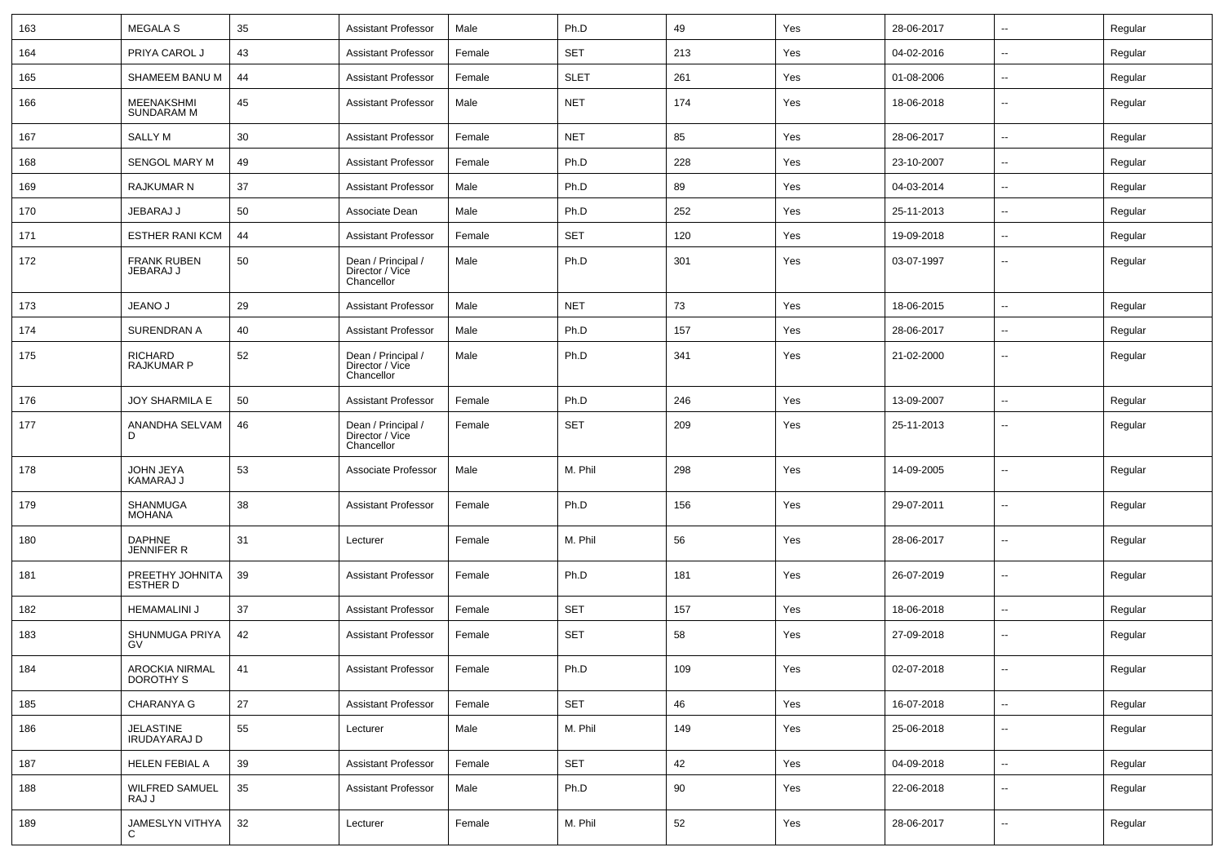| 163 | <b>MEGALA S</b>                     | 35  | <b>Assistant Professor</b>                          | Male   | Ph.D        | 49  | Yes | 28-06-2017 | $\sim$                   | Regular |
|-----|-------------------------------------|-----|-----------------------------------------------------|--------|-------------|-----|-----|------------|--------------------------|---------|
| 164 | PRIYA CAROL J                       | 43  | Assistant Professor                                 | Female | <b>SET</b>  | 213 | Yes | 04-02-2016 | $\sim$                   | Regular |
| 165 | SHAMEEM BANU M                      | 44  | Assistant Professor                                 | Female | <b>SLET</b> | 261 | Yes | 01-08-2006 | $\overline{\phantom{a}}$ | Regular |
| 166 | MEENAKSHMI<br><b>SUNDARAM M</b>     | 45  | <b>Assistant Professor</b>                          | Male   | <b>NET</b>  | 174 | Yes | 18-06-2018 | $\sim$                   | Regular |
| 167 | SALLY M                             | 30  | <b>Assistant Professor</b>                          | Female | <b>NET</b>  | 85  | Yes | 28-06-2017 | $\sim$                   | Regular |
| 168 | <b>SENGOL MARY M</b>                | 49  | <b>Assistant Professor</b>                          | Female | Ph.D        | 228 | Yes | 23-10-2007 | $\sim$                   | Regular |
| 169 | <b>RAJKUMAR N</b>                   | 37  | <b>Assistant Professor</b>                          | Male   | Ph.D        | 89  | Yes | 04-03-2014 | $\overline{\phantom{a}}$ | Regular |
| 170 | JEBARAJ J                           | 50  | Associate Dean                                      | Male   | Ph.D        | 252 | Yes | 25-11-2013 | $\sim$                   | Regular |
| 171 | <b>ESTHER RANI KCM</b>              | 44  | Assistant Professor                                 | Female | <b>SET</b>  | 120 | Yes | 19-09-2018 | $\sim$                   | Regular |
| 172 | <b>FRANK RUBEN</b><br>JEBARAJ J     | 50  | Dean / Principal /<br>Director / Vice<br>Chancellor | Male   | Ph.D        | 301 | Yes | 03-07-1997 | $\overline{\phantom{a}}$ | Regular |
| 173 | JEANO J                             | 29  | Assistant Professor                                 | Male   | <b>NET</b>  | 73  | Yes | 18-06-2015 | $\sim$                   | Regular |
| 174 | <b>SURENDRAN A</b>                  | 40  | <b>Assistant Professor</b>                          | Male   | Ph.D        | 157 | Yes | 28-06-2017 | $\overline{\phantom{a}}$ | Regular |
| 175 | <b>RICHARD</b><br><b>RAJKUMAR P</b> | 52  | Dean / Principal /<br>Director / Vice<br>Chancellor | Male   | Ph.D        | 341 | Yes | 21-02-2000 | $\sim$                   | Regular |
| 176 | JOY SHARMILA E                      | 50  | <b>Assistant Professor</b>                          | Female | Ph.D        | 246 | Yes | 13-09-2007 | $\sim$                   | Regular |
| 177 | ANANDHA SELVAM<br>D                 | 46  | Dean / Principal /<br>Director / Vice<br>Chancellor | Female | <b>SET</b>  | 209 | Yes | 25-11-2013 | $\sim$                   | Regular |
| 178 | JOHN JEYA<br>KAMARAJ J              | 53  | Associate Professor                                 | Male   | M. Phil     | 298 | Yes | 14-09-2005 | $\overline{\phantom{a}}$ | Regular |
| 179 | <b>SHANMUGA</b><br><b>MOHANA</b>    | 38  | <b>Assistant Professor</b>                          | Female | Ph.D        | 156 | Yes | 29-07-2011 | $\overline{\phantom{a}}$ | Regular |
| 180 | DAPHNE<br>JENNIFER R                | 31  | Lecturer                                            | Female | M. Phil     | 56  | Yes | 28-06-2017 | $\overline{\phantom{a}}$ | Regular |
| 181 | PREETHY JOHNITA<br>ESTHER D         | 39  | <b>Assistant Professor</b>                          | Female | Ph.D        | 181 | Yes | 26-07-2019 | $\overline{\phantom{a}}$ | Regular |
| 182 | <b>HEMAMALINI J</b>                 | 37  | <b>Assistant Professor</b>                          | Female | <b>SET</b>  | 157 | Yes | 18-06-2018 | $\sim$                   | Regular |
| 183 | SHUNMUGA PRIYA<br>GV                | 42  | <b>Assistant Professor</b>                          | Female | <b>SET</b>  | 58  | Yes | 27-09-2018 | $\sim$                   | Regular |
| 184 | AROCKIA NIRMAL<br>DOROTHY S         | -41 | Assistant Professor                                 | Female | Ph.D        | 109 | Yes | 02-07-2018 | $\sim$                   | Regular |
| 185 | <b>CHARANYA G</b>                   | 27  | <b>Assistant Professor</b>                          | Female | SET         | 46  | Yes | 16-07-2018 | $\sim$                   | Regular |
| 186 | JELASTINE<br><b>IRUDAYARAJ D</b>    | 55  | Lecturer                                            | Male   | M. Phil     | 149 | Yes | 25-06-2018 | $\overline{\phantom{a}}$ | Regular |
| 187 | HELEN FEBIAL A                      | 39  | <b>Assistant Professor</b>                          | Female | SET         | 42  | Yes | 04-09-2018 | $\sim$                   | Regular |
| 188 | <b>WILFRED SAMUEL</b><br>RAJ J      | 35  | <b>Assistant Professor</b>                          | Male   | Ph.D        | 90  | Yes | 22-06-2018 | $\sim$                   | Regular |
| 189 | JAMESLYN VITHYA<br>C                | 32  | Lecturer                                            | Female | M. Phil     | 52  | Yes | 28-06-2017 | $\sim$                   | Regular |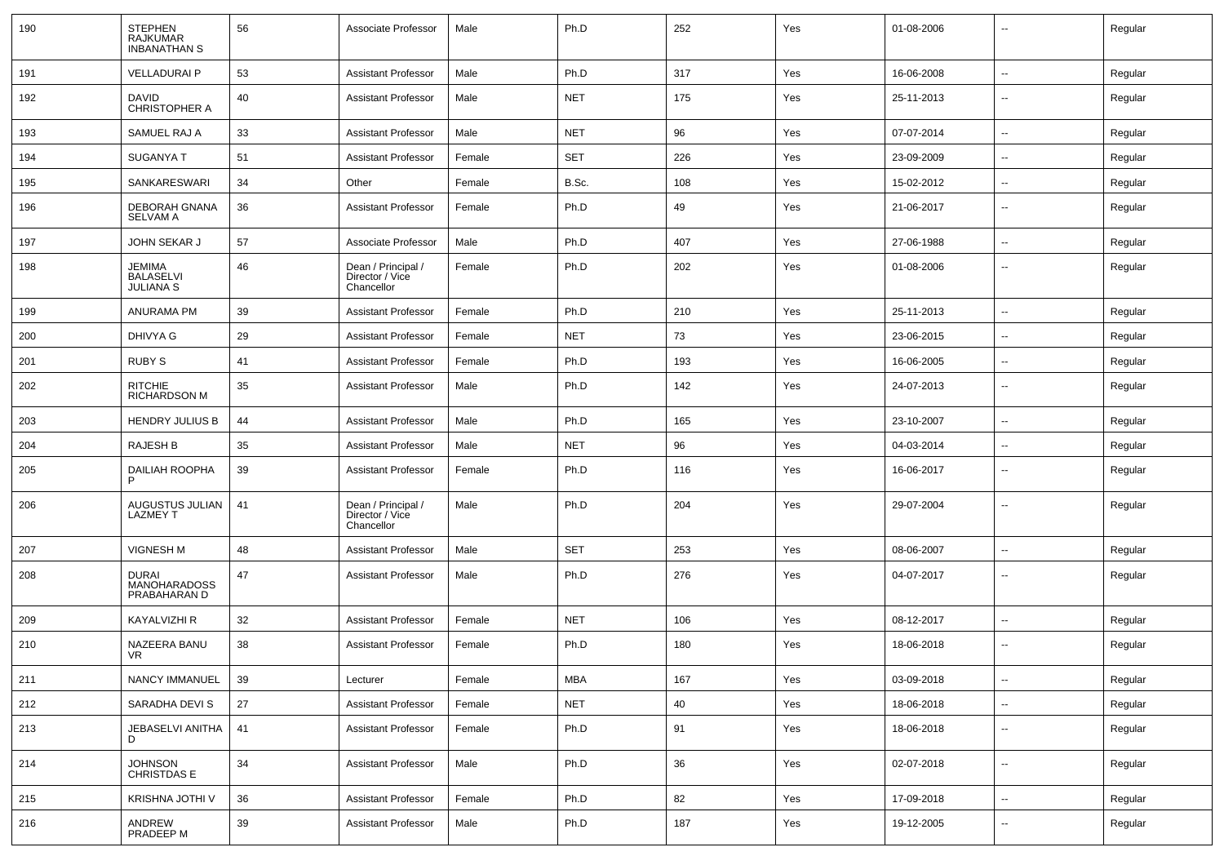| 190 | <b>STEPHEN</b><br><b>RAJKUMAR</b><br><b>INBANATHAN S</b> | 56 | Associate Professor                                 | Male   | Ph.D       | 252 | Yes | 01-08-2006 | $\overline{\phantom{a}}$ | Regular |
|-----|----------------------------------------------------------|----|-----------------------------------------------------|--------|------------|-----|-----|------------|--------------------------|---------|
| 191 | <b>VELLADURAI P</b>                                      | 53 | <b>Assistant Professor</b>                          | Male   | Ph.D       | 317 | Yes | 16-06-2008 | $\mathbf{u}$             | Regular |
| 192 | <b>DAVID</b><br>CHRISTOPHER A                            | 40 | Assistant Professor                                 | Male   | <b>NET</b> | 175 | Yes | 25-11-2013 | $\sim$                   | Regular |
| 193 | SAMUEL RAJ A                                             | 33 | <b>Assistant Professor</b>                          | Male   | <b>NET</b> | 96  | Yes | 07-07-2014 | $\sim$                   | Regular |
| 194 | <b>SUGANYA T</b>                                         | 51 | <b>Assistant Professor</b>                          | Female | <b>SET</b> | 226 | Yes | 23-09-2009 | --                       | Regular |
| 195 | SANKARESWARI                                             | 34 | Other                                               | Female | B.Sc.      | 108 | Yes | 15-02-2012 |                          | Regular |
| 196 | DEBORAH GNANA<br><b>SELVAM A</b>                         | 36 | <b>Assistant Professor</b>                          | Female | Ph.D       | 49  | Yes | 21-06-2017 | $\overline{\phantom{a}}$ | Regular |
| 197 | <b>JOHN SEKAR J</b>                                      | 57 | Associate Professor                                 | Male   | Ph.D       | 407 | Yes | 27-06-1988 | $\overline{\phantom{a}}$ | Regular |
| 198 | <b>JEMIMA</b><br><b>BALASELVI</b><br><b>JULIANA S</b>    | 46 | Dean / Principal /<br>Director / Vice<br>Chancellor | Female | Ph.D       | 202 | Yes | 01-08-2006 |                          | Regular |
| 199 | ANURAMA PM                                               | 39 | <b>Assistant Professor</b>                          | Female | Ph.D       | 210 | Yes | 25-11-2013 | $\overline{\phantom{a}}$ | Regular |
| 200 | DHIVYA G                                                 | 29 | <b>Assistant Professor</b>                          | Female | <b>NET</b> | 73  | Yes | 23-06-2015 |                          | Regular |
| 201 | <b>RUBY S</b>                                            | 41 | <b>Assistant Professor</b>                          | Female | Ph.D       | 193 | Yes | 16-06-2005 | $\mathbf{u}$             | Regular |
| 202 | <b>RITCHIE</b><br><b>RICHARDSON M</b>                    | 35 | Assistant Professor                                 | Male   | Ph.D       | 142 | Yes | 24-07-2013 | $\overline{\phantom{a}}$ | Regular |
| 203 | <b>HENDRY JULIUS B</b>                                   | 44 | <b>Assistant Professor</b>                          | Male   | Ph.D       | 165 | Yes | 23-10-2007 | $\sim$                   | Regular |
| 204 | RAJESH B                                                 | 35 | <b>Assistant Professor</b>                          | Male   | <b>NET</b> | 96  | Yes | 04-03-2014 | --                       | Regular |
| 205 | DAILIAH ROOPHA<br>P                                      | 39 | <b>Assistant Professor</b>                          | Female | Ph.D       | 116 | Yes | 16-06-2017 | $\overline{\phantom{a}}$ | Regular |
| 206 | AUGUSTUS JULIAN<br><b>LAZMEY T</b>                       | 41 | Dean / Principal /<br>Director / Vice<br>Chancellor | Male   | Ph.D       | 204 | Yes | 29-07-2004 | $\overline{\phantom{a}}$ | Regular |
| 207 | <b>VIGNESH M</b>                                         | 48 | <b>Assistant Professor</b>                          | Male   | <b>SET</b> | 253 | Yes | 08-06-2007 | $\overline{\phantom{a}}$ | Regular |
| 208 | <b>DURAI</b><br><b>MANOHARADOSS</b><br>PRABAHARAN D      | 47 | <b>Assistant Professor</b>                          | Male   | Ph.D       | 276 | Yes | 04-07-2017 | $\overline{\phantom{a}}$ | Regular |
| 209 | KAYALVIZHI R                                             | 32 | <b>Assistant Professor</b>                          | Female | <b>NET</b> | 106 | Yes | 08-12-2017 | --                       | Regular |
| 210 | NAZEERA BANU<br>VR                                       | 38 | <b>Assistant Professor</b>                          | Female | Ph.D       | 180 | Yes | 18-06-2018 | $\overline{\phantom{a}}$ | Regular |
| 211 | NANCY IMMANUEL                                           | 39 | Lecturer                                            | Female | <b>MBA</b> | 167 | Yes | 03-09-2018 | $\overline{\phantom{a}}$ | Regular |
| 212 | SARADHA DEVI S                                           | 27 | <b>Assistant Professor</b>                          | Female | <b>NET</b> | 40  | Yes | 18-06-2018 | $\sim$                   | Regular |
| 213 | JEBASELVI ANITHA<br>D                                    | 41 | <b>Assistant Professor</b>                          | Female | Ph.D       | 91  | Yes | 18-06-2018 | $\mathbf{u}$             | Regular |
| 214 | JOHNSON<br>CHRISTDAS E                                   | 34 | <b>Assistant Professor</b>                          | Male   | Ph.D       | 36  | Yes | 02-07-2018 | $\sim$                   | Regular |
| 215 | KRISHNA JOTHI V                                          | 36 | <b>Assistant Professor</b>                          | Female | Ph.D       | 82  | Yes | 17-09-2018 | $\frac{1}{2}$            | Regular |
| 216 | ANDREW<br>PRADEEP M                                      | 39 | <b>Assistant Professor</b>                          | Male   | Ph.D       | 187 | Yes | 19-12-2005 | $\mathbf{u}$             | Regular |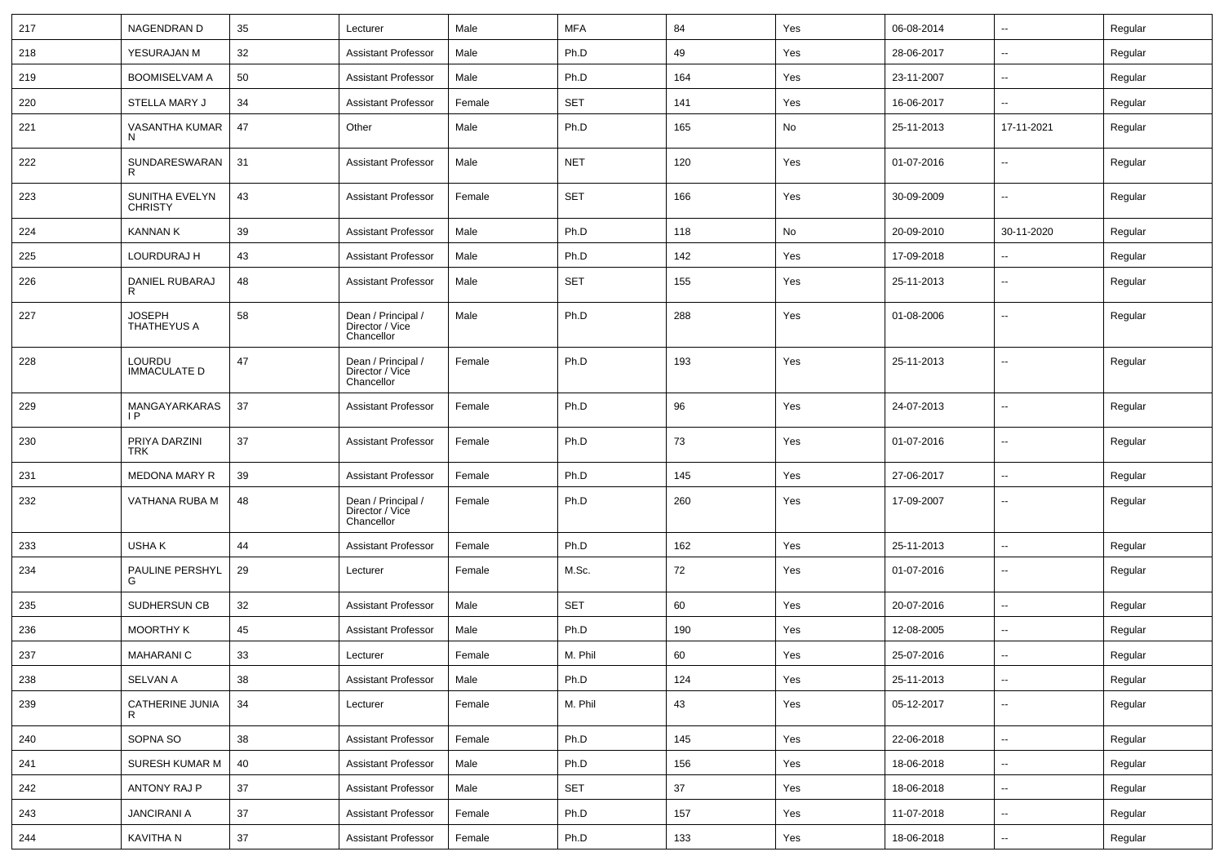| 217 | NAGENDRAN D                         | 35 | Lecturer                                            | Male   | <b>MFA</b> | 84  | Yes | 06-08-2014 | $\sim$                   | Regular |
|-----|-------------------------------------|----|-----------------------------------------------------|--------|------------|-----|-----|------------|--------------------------|---------|
| 218 | YESURAJAN M                         | 32 | <b>Assistant Professor</b>                          | Male   | Ph.D       | 49  | Yes | 28-06-2017 | $\sim$                   | Regular |
| 219 | <b>BOOMISELVAM A</b>                | 50 | <b>Assistant Professor</b>                          | Male   | Ph.D       | 164 | Yes | 23-11-2007 | $\sim$                   | Regular |
| 220 | <b>STELLA MARY J</b>                | 34 | <b>Assistant Professor</b>                          | Female | <b>SET</b> | 141 | Yes | 16-06-2017 | $\overline{\phantom{a}}$ | Regular |
| 221 | VASANTHA KUMAR<br>N                 | 47 | Other                                               | Male   | Ph.D       | 165 | No  | 25-11-2013 | 17-11-2021               | Regular |
| 222 | SUNDARESWARAN<br>R                  | 31 | <b>Assistant Professor</b>                          | Male   | <b>NET</b> | 120 | Yes | 01-07-2016 | $\overline{\phantom{a}}$ | Regular |
| 223 | SUNITHA EVELYN<br><b>CHRISTY</b>    | 43 | <b>Assistant Professor</b>                          | Female | <b>SET</b> | 166 | Yes | 30-09-2009 | --                       | Regular |
| 224 | <b>KANNAN K</b>                     | 39 | <b>Assistant Professor</b>                          | Male   | Ph.D       | 118 | No  | 20-09-2010 | 30-11-2020               | Regular |
| 225 | LOURDURAJ H                         | 43 | <b>Assistant Professor</b>                          | Male   | Ph.D       | 142 | Yes | 17-09-2018 | $\sim$                   | Regular |
| 226 | DANIEL RUBARAJ<br>R                 | 48 | <b>Assistant Professor</b>                          | Male   | <b>SET</b> | 155 | Yes | 25-11-2013 | $\sim$                   | Regular |
| 227 | <b>JOSEPH</b><br><b>THATHEYUS A</b> | 58 | Dean / Principal /<br>Director / Vice<br>Chancellor | Male   | Ph.D       | 288 | Yes | 01-08-2006 | $\overline{\phantom{a}}$ | Regular |
| 228 | LOURDU<br><b>IMMACULATE D</b>       | 47 | Dean / Principal /<br>Director / Vice<br>Chancellor | Female | Ph.D       | 193 | Yes | 25-11-2013 | $\sim$                   | Regular |
| 229 | MANGAYARKARAS<br>IP                 | 37 | <b>Assistant Professor</b>                          | Female | Ph.D       | 96  | Yes | 24-07-2013 | $\overline{\phantom{a}}$ | Regular |
| 230 | PRIYA DARZINI<br><b>TRK</b>         | 37 | <b>Assistant Professor</b>                          | Female | Ph.D       | 73  | Yes | 01-07-2016 | $\overline{\phantom{a}}$ | Regular |
| 231 | <b>MEDONA MARY R</b>                | 39 | <b>Assistant Professor</b>                          | Female | Ph.D       | 145 | Yes | 27-06-2017 | $\overline{\phantom{a}}$ | Regular |
| 232 | VATHANA RUBA M                      | 48 | Dean / Principal /<br>Director / Vice<br>Chancellor | Female | Ph.D       | 260 | Yes | 17-09-2007 | --                       | Regular |
| 233 | USHA K                              | 44 | <b>Assistant Professor</b>                          | Female | Ph.D       | 162 | Yes | 25-11-2013 | $\sim$                   | Regular |
| 234 | PAULINE PERSHYL<br>G                | 29 | Lecturer                                            | Female | M.Sc.      | 72  | Yes | 01-07-2016 | $\overline{\phantom{a}}$ | Regular |
| 235 | SUDHERSUN CB                        | 32 | <b>Assistant Professor</b>                          | Male   | <b>SET</b> | 60  | Yes | 20-07-2016 | $\overline{\phantom{a}}$ | Regular |
| 236 | <b>MOORTHY K</b>                    | 45 | <b>Assistant Professor</b>                          | Male   | Ph.D       | 190 | Yes | 12-08-2005 | $\sim$                   | Regular |
| 237 | MAHARANI C                          | 33 | Lecturer                                            | Female | M. Phil    | 60  | Yes | 25-07-2016 | ⊷.                       | Regular |
| 238 | SELVAN A                            | 38 | <b>Assistant Professor</b>                          | Male   | Ph.D       | 124 | Yes | 25-11-2013 | $\overline{\phantom{a}}$ | Regular |
| 239 | CATHERINE JUNIA<br>R                | 34 | Lecturer                                            | Female | M. Phil    | 43  | Yes | 05-12-2017 | $\sim$                   | Regular |
| 240 | SOPNA SO                            | 38 | <b>Assistant Professor</b>                          | Female | Ph.D       | 145 | Yes | 22-06-2018 | $\sim$                   | Regular |
| 241 | SURESH KUMAR M                      | 40 | <b>Assistant Professor</b>                          | Male   | Ph.D       | 156 | Yes | 18-06-2018 | $\sim$                   | Regular |
| 242 | ANTONY RAJ P                        | 37 | <b>Assistant Professor</b>                          | Male   | <b>SET</b> | 37  | Yes | 18-06-2018 | $\sim$                   | Regular |
| 243 | <b>JANCIRANI A</b>                  | 37 | <b>Assistant Professor</b>                          | Female | Ph.D       | 157 | Yes | 11-07-2018 | $\sim$                   | Regular |
| 244 | KAVITHA N                           | 37 | Assistant Professor                                 | Female | Ph.D       | 133 | Yes | 18-06-2018 | $\sim$                   | Regular |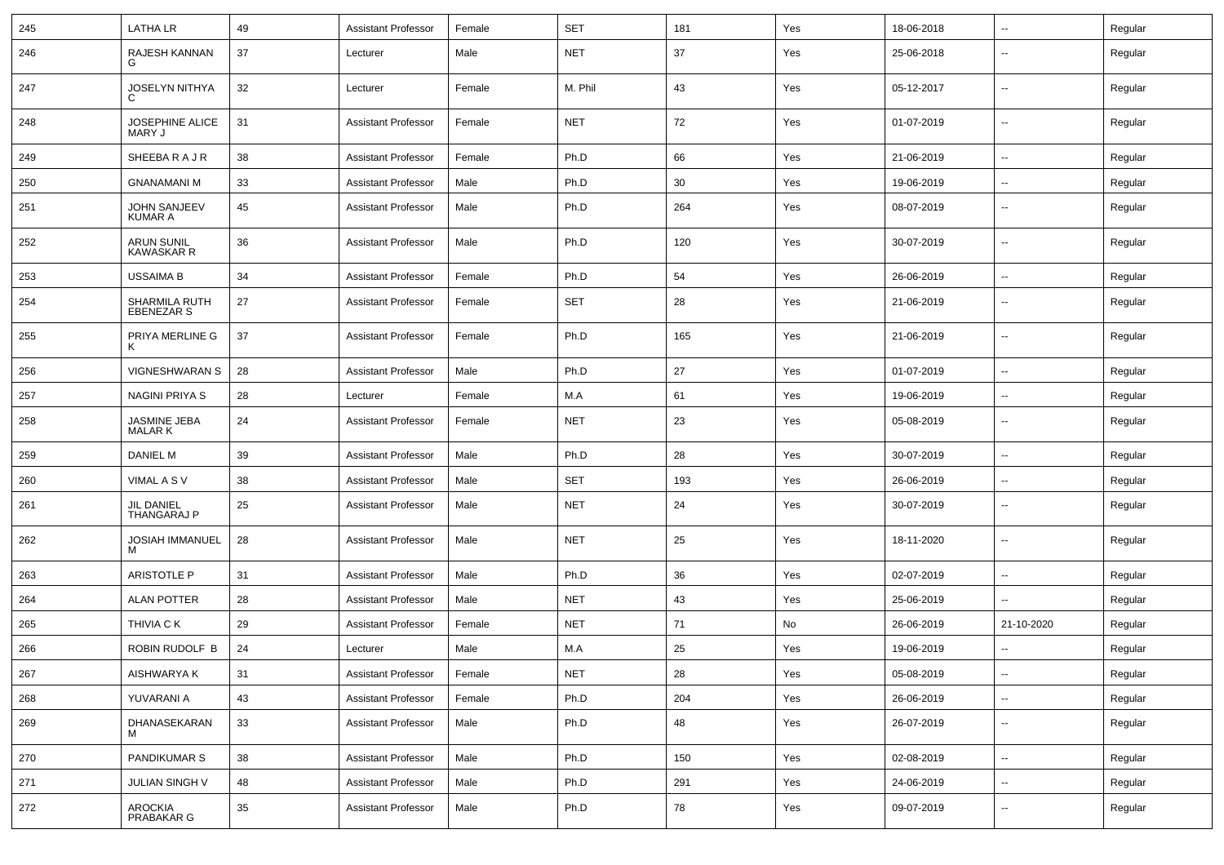| 245 | <b>LATHALR</b>                         | 49 | Assistant Professor        | Female | <b>SET</b> | 181 | Yes | 18-06-2018 | $\sim$                   | Regular |
|-----|----------------------------------------|----|----------------------------|--------|------------|-----|-----|------------|--------------------------|---------|
| 246 | RAJESH KANNAN<br>G                     | 37 | Lecturer                   | Male   | <b>NET</b> | 37  | Yes | 25-06-2018 | --                       | Regular |
| 247 | <b>JOSELYN NITHYA</b><br>C             | 32 | Lecturer                   | Female | M. Phil    | 43  | Yes | 05-12-2017 | $\overline{\phantom{a}}$ | Regular |
| 248 | JOSEPHINE ALICE<br>MARY J              | 31 | <b>Assistant Professor</b> | Female | <b>NET</b> | 72  | Yes | 01-07-2019 | --                       | Regular |
| 249 | SHEEBARAJR                             | 38 | Assistant Professor        | Female | Ph.D       | 66  | Yes | 21-06-2019 | $\overline{\phantom{a}}$ | Regular |
| 250 | <b>GNANAMANI M</b>                     | 33 | <b>Assistant Professor</b> | Male   | Ph.D       | 30  | Yes | 19-06-2019 | $\overline{\phantom{a}}$ | Regular |
| 251 | <b>JOHN SANJEEV</b><br><b>KUMAR A</b>  | 45 | <b>Assistant Professor</b> | Male   | Ph.D       | 264 | Yes | 08-07-2019 | $\overline{\phantom{a}}$ | Regular |
| 252 | <b>ARUN SUNIL</b><br><b>KAWASKAR R</b> | 36 | <b>Assistant Professor</b> | Male   | Ph.D       | 120 | Yes | 30-07-2019 | $\overline{\phantom{a}}$ | Regular |
| 253 | USSAIMA B                              | 34 | Assistant Professor        | Female | Ph.D       | 54  | Yes | 26-06-2019 | $\overline{\phantom{a}}$ | Regular |
| 254 | SHARMILA RUTH<br>EBENEZAR S            | 27 | <b>Assistant Professor</b> | Female | <b>SET</b> | 28  | Yes | 21-06-2019 | --                       | Regular |
| 255 | PRIYA MERLINE G<br>к                   | 37 | <b>Assistant Professor</b> | Female | Ph.D       | 165 | Yes | 21-06-2019 | --                       | Regular |
| 256 | <b>VIGNESHWARAN S</b>                  | 28 | <b>Assistant Professor</b> | Male   | Ph.D       | 27  | Yes | 01-07-2019 | $\mathbf{u}$             | Regular |
| 257 | <b>NAGINI PRIYA S</b>                  | 28 | Lecturer                   | Female | M.A        | 61  | Yes | 19-06-2019 | $\sim$                   | Regular |
| 258 | JASMINE JEBA<br><b>MALARK</b>          | 24 | Assistant Professor        | Female | <b>NET</b> | 23  | Yes | 05-08-2019 | $\sim$                   | Regular |
| 259 | <b>DANIEL M</b>                        | 39 | <b>Assistant Professor</b> | Male   | Ph.D       | 28  | Yes | 30-07-2019 | $\sim$                   | Regular |
| 260 | VIMAL A S V                            | 38 | Assistant Professor        | Male   | <b>SET</b> | 193 | Yes | 26-06-2019 | $\overline{\phantom{a}}$ | Regular |
| 261 | <b>JIL DANIEL</b><br>THANGARAJ P       | 25 | <b>Assistant Professor</b> | Male   | <b>NET</b> | 24  | Yes | 30-07-2019 | $\overline{\phantom{a}}$ | Regular |
| 262 | JOSIAH IMMANUEL<br>M                   | 28 | <b>Assistant Professor</b> | Male   | <b>NET</b> | 25  | Yes | 18-11-2020 | $\overline{\phantom{a}}$ | Regular |
| 263 | <b>ARISTOTLE P</b>                     | 31 | <b>Assistant Professor</b> | Male   | Ph.D       | 36  | Yes | 02-07-2019 | $\mathbf{u}$             | Regular |
| 264 | <b>ALAN POTTER</b>                     | 28 | <b>Assistant Professor</b> | Male   | <b>NET</b> | 43  | Yes | 25-06-2019 |                          | Regular |
| 265 | <b>THIVIA CK</b>                       | 29 | <b>Assistant Professor</b> | Female | <b>NET</b> | 71  | No  | 26-06-2019 | 21-10-2020               | Regular |
| 266 | ROBIN RUDOLF B                         | 24 | Lecturer                   | Male   | M.A        | 25  | Yes | 19-06-2019 |                          | Regular |
| 267 | AISHWARYA K                            | 31 | Assistant Professor        | Female | <b>NET</b> | 28  | Yes | 05-08-2019 | $\overline{\phantom{a}}$ | Regular |
| 268 | YUVARANI A                             | 43 | <b>Assistant Professor</b> | Female | Ph.D       | 204 | Yes | 26-06-2019 | $\sim$                   | Regular |
| 269 | DHANASEKARAN                           | 33 | <b>Assistant Professor</b> | Male   | Ph.D       | 48  | Yes | 26-07-2019 | $\sim$                   | Regular |
| 270 | PANDIKUMAR S                           | 38 | <b>Assistant Professor</b> | Male   | Ph.D       | 150 | Yes | 02-08-2019 | $\sim$                   | Regular |
| 271 | JULIAN SINGH V                         | 48 | <b>Assistant Professor</b> | Male   | Ph.D       | 291 | Yes | 24-06-2019 | $\sim$                   | Regular |
| 272 | AROCKIA<br>PRABAKAR G                  | 35 | <b>Assistant Professor</b> | Male   | Ph.D       | 78  | Yes | 09-07-2019 | $\overline{\phantom{a}}$ | Regular |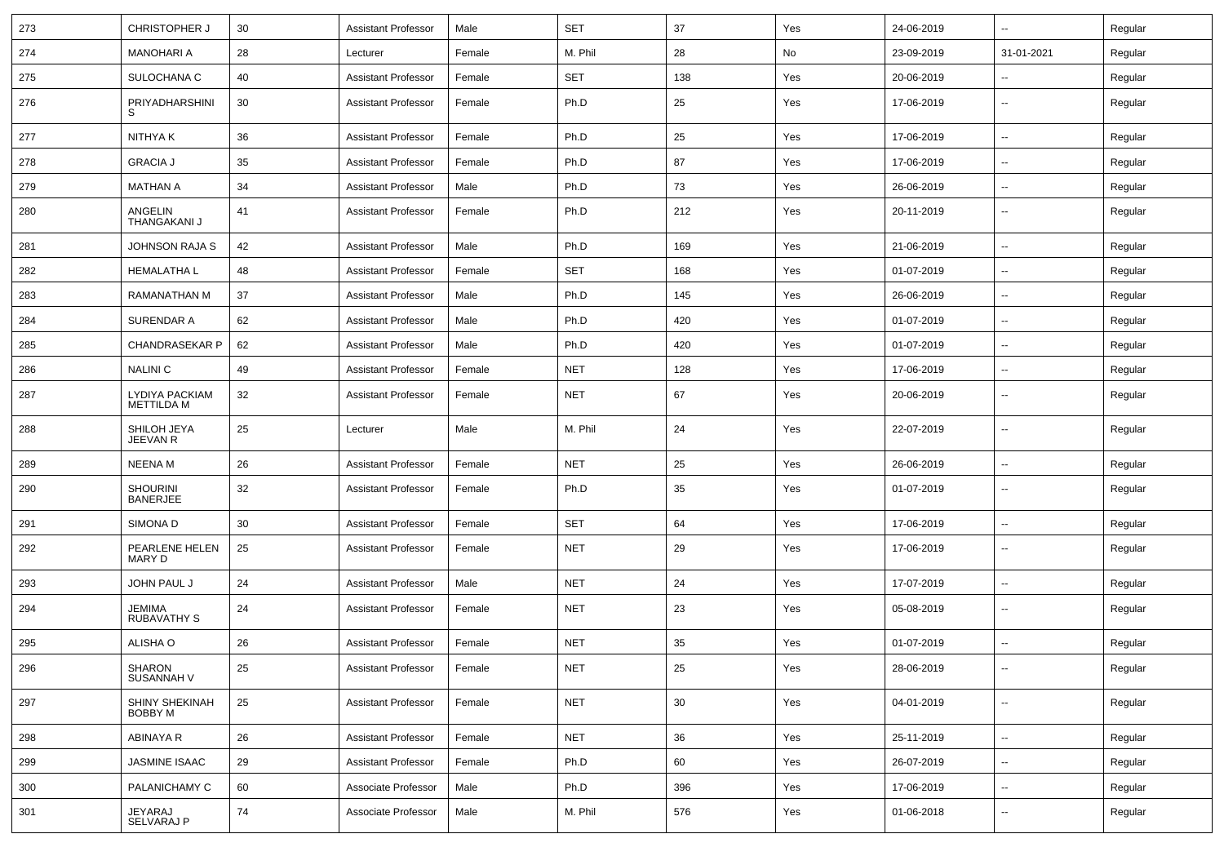| 273 | <b>CHRISTOPHER J</b>                | 30 | <b>Assistant Professor</b> | Male   | <b>SET</b> | 37  | Yes | 24-06-2019 | $\sim$                   | Regular |
|-----|-------------------------------------|----|----------------------------|--------|------------|-----|-----|------------|--------------------------|---------|
| 274 | <b>MANOHARI A</b>                   | 28 | Lecturer                   | Female | M. Phil    | 28  | No  | 23-09-2019 | 31-01-2021               | Regular |
| 275 | SULOCHANA C                         | 40 | <b>Assistant Professor</b> | Female | <b>SET</b> | 138 | Yes | 20-06-2019 | --                       | Regular |
| 276 | PRIYADHARSHINI                      | 30 | <b>Assistant Professor</b> | Female | Ph.D       | 25  | Yes | 17-06-2019 | --                       | Regular |
| 277 | NITHYA K                            | 36 | <b>Assistant Professor</b> | Female | Ph.D       | 25  | Yes | 17-06-2019 | $\overline{\phantom{a}}$ | Regular |
| 278 | <b>GRACIA J</b>                     | 35 | <b>Assistant Professor</b> | Female | Ph.D       | 87  | Yes | 17-06-2019 | --                       | Regular |
| 279 | <b>MATHAN A</b>                     | 34 | <b>Assistant Professor</b> | Male   | Ph.D       | 73  | Yes | 26-06-2019 | $\overline{\phantom{a}}$ | Regular |
| 280 | ANGELIN<br>THANGAKANI J             | 41 | <b>Assistant Professor</b> | Female | Ph.D       | 212 | Yes | 20-11-2019 | --                       | Regular |
| 281 | <b>JOHNSON RAJA S</b>               | 42 | <b>Assistant Professor</b> | Male   | Ph.D       | 169 | Yes | 21-06-2019 | Ξ.                       | Regular |
| 282 | <b>HEMALATHA L</b>                  | 48 | <b>Assistant Professor</b> | Female | <b>SET</b> | 168 | Yes | 01-07-2019 | --                       | Regular |
| 283 | RAMANATHAN M                        | 37 | <b>Assistant Professor</b> | Male   | Ph.D       | 145 | Yes | 26-06-2019 | ⊷.                       | Regular |
| 284 | SURENDAR A                          | 62 | <b>Assistant Professor</b> | Male   | Ph.D       | 420 | Yes | 01-07-2019 | $\overline{\phantom{a}}$ | Regular |
| 285 | <b>CHANDRASEKAR P</b>               | 62 | <b>Assistant Professor</b> | Male   | Ph.D       | 420 | Yes | 01-07-2019 | --                       | Regular |
| 286 | <b>NALINIC</b>                      | 49 | <b>Assistant Professor</b> | Female | <b>NET</b> | 128 | Yes | 17-06-2019 | $\overline{\phantom{a}}$ | Regular |
| 287 | LYDIYA PACKIAM<br><b>METTILDA M</b> | 32 | <b>Assistant Professor</b> | Female | <b>NET</b> | 67  | Yes | 20-06-2019 | $\overline{\phantom{a}}$ | Regular |
| 288 | SHILOH JEYA<br>JEEVAN R             | 25 | Lecturer                   | Male   | M. Phil    | 24  | Yes | 22-07-2019 | ⊷.                       | Regular |
| 289 | <b>NEENAM</b>                       | 26 | <b>Assistant Professor</b> | Female | <b>NET</b> | 25  | Yes | 26-06-2019 | $\overline{\phantom{a}}$ | Regular |
| 290 | SHOURINI<br><b>BANERJEE</b>         | 32 | <b>Assistant Professor</b> | Female | Ph.D       | 35  | Yes | 01-07-2019 | --                       | Regular |
| 291 | SIMONA D                            | 30 | <b>Assistant Professor</b> | Female | <b>SET</b> | 64  | Yes | 17-06-2019 | -−                       | Regular |
| 292 | PEARLENE HELEN<br>MARY D            | 25 | <b>Assistant Professor</b> | Female | NET        | 29  | Yes | 17-06-2019 | $\overline{\phantom{a}}$ | Regular |
| 293 | JOHN PAUL J                         | 24 | <b>Assistant Professor</b> | Male   | <b>NET</b> | 24  | Yes | 17-07-2019 | $\overline{\phantom{a}}$ | Regular |
| 294 | JEMIMA<br><b>RUBAVATHY S</b>        | 24 | <b>Assistant Professor</b> | Female | <b>NET</b> | 23  | Yes | 05-08-2019 | --                       | Regular |
| 295 | ALISHA O                            | 26 | <b>Assistant Professor</b> | Female | <b>NET</b> | 35  | Yes | 01-07-2019 | $\overline{\phantom{a}}$ | Regular |
| 296 | SHARON<br>SUSANNAH V                | 25 | Assistant Professor        | Female | <b>NET</b> | 25  | Yes | 28-06-2019 |                          | Regular |
| 297 | SHINY SHEKINAH<br>BOBBY M           | 25 | <b>Assistant Professor</b> | Female | <b>NET</b> | 30  | Yes | 04-01-2019 | Щ.                       | Regular |
| 298 | ABINAYA R                           | 26 | <b>Assistant Professor</b> | Female | <b>NET</b> | 36  | Yes | 25-11-2019 | $\overline{\phantom{a}}$ | Regular |
| 299 | JASMINE ISAAC                       | 29 | <b>Assistant Professor</b> | Female | Ph.D       | 60  | Yes | 26-07-2019 | Щ.                       | Regular |
| 300 | PALANICHAMY C                       | 60 | Associate Professor        | Male   | Ph.D       | 396 | Yes | 17-06-2019 | $\overline{\phantom{a}}$ | Regular |
| 301 | JEYARAJ<br>SELVARAJ P               | 74 | Associate Professor        | Male   | M. Phil    | 576 | Yes | 01-06-2018 | ⊷.                       | Regular |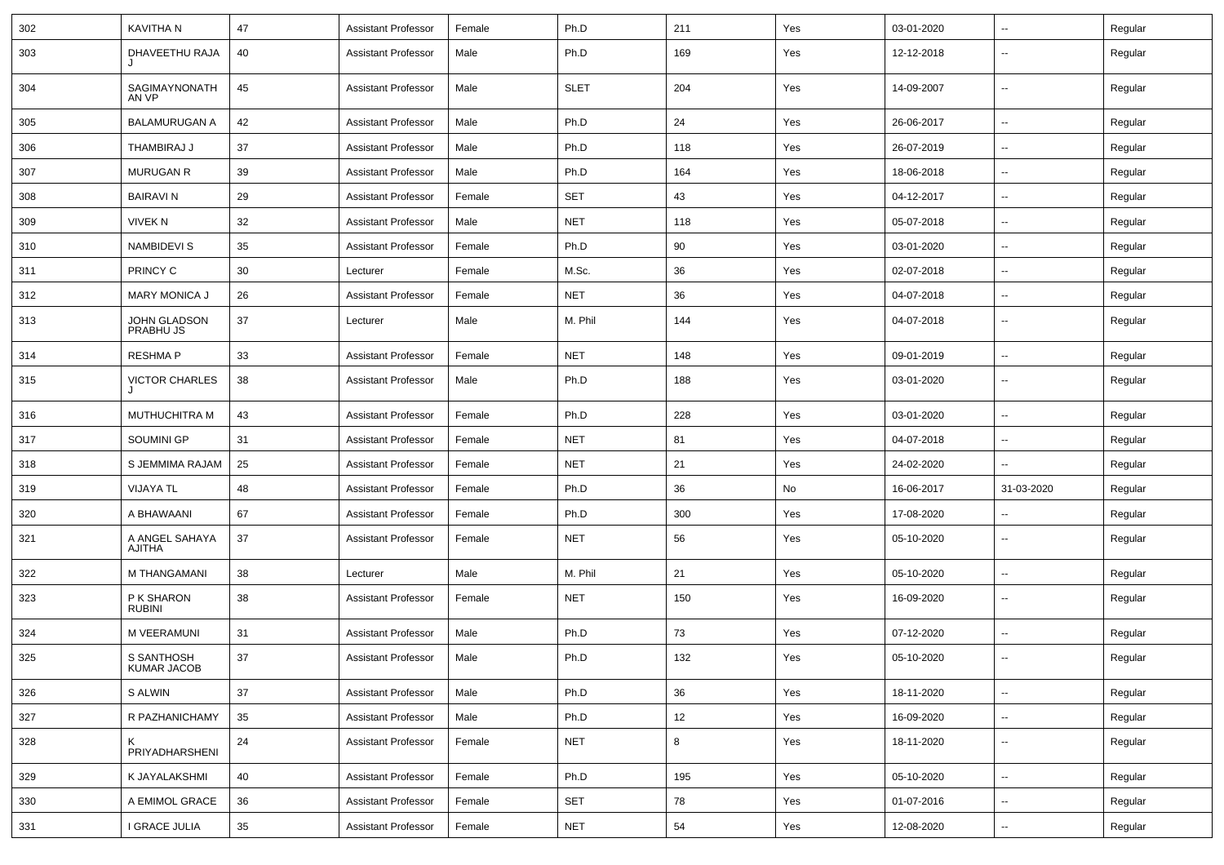| 302 | KAVITHA N                        | 47 | Assistant Professor        | Female | Ph.D        | 211 | Yes | 03-01-2020 | ⊷.                       | Regular |
|-----|----------------------------------|----|----------------------------|--------|-------------|-----|-----|------------|--------------------------|---------|
| 303 | DHAVEETHU RAJA                   | 40 | <b>Assistant Professor</b> | Male   | Ph.D        | 169 | Yes | 12-12-2018 | --                       | Regular |
| 304 | SAGIMAYNONATH<br>AN VP           | 45 | <b>Assistant Professor</b> | Male   | <b>SLET</b> | 204 | Yes | 14-09-2007 | $\overline{\phantom{a}}$ | Regular |
| 305 | <b>BALAMURUGAN A</b>             | 42 | <b>Assistant Professor</b> | Male   | Ph.D        | 24  | Yes | 26-06-2017 | ⊷.                       | Regular |
| 306 | THAMBIRAJ J                      | 37 | <b>Assistant Professor</b> | Male   | Ph.D        | 118 | Yes | 26-07-2019 | -−                       | Regular |
| 307 | <b>MURUGAN R</b>                 | 39 | <b>Assistant Professor</b> | Male   | Ph.D        | 164 | Yes | 18-06-2018 | --                       | Regular |
| 308 | <b>BAIRAVIN</b>                  | 29 | <b>Assistant Professor</b> | Female | <b>SET</b>  | 43  | Yes | 04-12-2017 | --                       | Regular |
| 309 | <b>VIVEK N</b>                   | 32 | <b>Assistant Professor</b> | Male   | <b>NET</b>  | 118 | Yes | 05-07-2018 | ⊷.                       | Regular |
| 310 | NAMBIDEVI S                      | 35 | <b>Assistant Professor</b> | Female | Ph.D        | 90  | Yes | 03-01-2020 | ⊷.                       | Regular |
| 311 | PRINCY C                         | 30 | Lecturer                   | Female | M.Sc.       | 36  | Yes | 02-07-2018 | --                       | Regular |
| 312 | <b>MARY MONICA J</b>             | 26 | <b>Assistant Professor</b> | Female | <b>NET</b>  | 36  | Yes | 04-07-2018 | н.                       | Regular |
| 313 | JOHN GLADSON<br>PRABHU JS        | 37 | Lecturer                   | Male   | M. Phil     | 144 | Yes | 04-07-2018 | $\overline{\phantom{a}}$ | Regular |
| 314 | <b>RESHMAP</b>                   | 33 | <b>Assistant Professor</b> | Female | <b>NET</b>  | 148 | Yes | 09-01-2019 | --                       | Regular |
| 315 | <b>VICTOR CHARLES</b>            | 38 | <b>Assistant Professor</b> | Male   | Ph.D        | 188 | Yes | 03-01-2020 | --                       | Regular |
| 316 | <b>MUTHUCHITRA M</b>             | 43 | <b>Assistant Professor</b> | Female | Ph.D        | 228 | Yes | 03-01-2020 | Ш.                       | Regular |
| 317 | SOUMINI GP                       | 31 | <b>Assistant Professor</b> | Female | <b>NET</b>  | 81  | Yes | 04-07-2018 | н.                       | Regular |
| 318 | S JEMMIMA RAJAM                  | 25 | Assistant Professor        | Female | NET         | 21  | Yes | 24-02-2020 | $\overline{\phantom{a}}$ | Regular |
| 319 | <b>VIJAYA TL</b>                 | 48 | <b>Assistant Professor</b> | Female | Ph.D        | 36  | No  | 16-06-2017 | 31-03-2020               | Regular |
| 320 | A BHAWAANI                       | 67 | <b>Assistant Professor</b> | Female | Ph.D        | 300 | Yes | 17-08-2020 | ⊷.                       | Regular |
| 321 | A ANGEL SAHAYA<br>AJITHA         | 37 | <b>Assistant Professor</b> | Female | <b>NET</b>  | 56  | Yes | 05-10-2020 | --                       | Regular |
| 322 | M THANGAMANI                     | 38 | Lecturer                   | Male   | M. Phil     | 21  | Yes | 05-10-2020 | $\overline{\phantom{a}}$ | Regular |
| 323 | P K SHARON<br><b>RUBINI</b>      | 38 | <b>Assistant Professor</b> | Female | <b>NET</b>  | 150 | Yes | 16-09-2020 | --                       | Regular |
| 324 | M VEERAMUNI                      | 31 | <b>Assistant Professor</b> | Male   | Ph.D        | 73  | Yes | 07-12-2020 | $\overline{\phantom{a}}$ | Regular |
| 325 | S SANTHOSH<br><b>KUMAR JACOB</b> | 37 | <b>Assistant Professor</b> | Male   | Ph.D        | 132 | Yes | 05-10-2020 | ⊷.                       | Regular |
| 326 | S ALWIN                          | 37 | <b>Assistant Professor</b> | Male   | Ph.D        | 36  | Yes | 18-11-2020 | $\overline{\phantom{a}}$ | Regular |
| 327 | R PAZHANICHAMY                   | 35 | <b>Assistant Professor</b> | Male   | Ph.D        | 12  | Yes | 16-09-2020 | Щ,                       | Regular |
| 328 | PRIYADHARSHENI                   | 24 | <b>Assistant Professor</b> | Female | <b>NET</b>  | 8   | Yes | 18-11-2020 | $\overline{\phantom{a}}$ | Regular |
| 329 | K JAYALAKSHMI                    | 40 | <b>Assistant Professor</b> | Female | Ph.D        | 195 | Yes | 05-10-2020 | Щ,                       | Regular |
| 330 | A EMIMOL GRACE                   | 36 | <b>Assistant Professor</b> | Female | SET         | 78  | Yes | 01-07-2016 | $\overline{\phantom{a}}$ | Regular |
|     |                                  |    |                            |        |             |     |     |            |                          |         |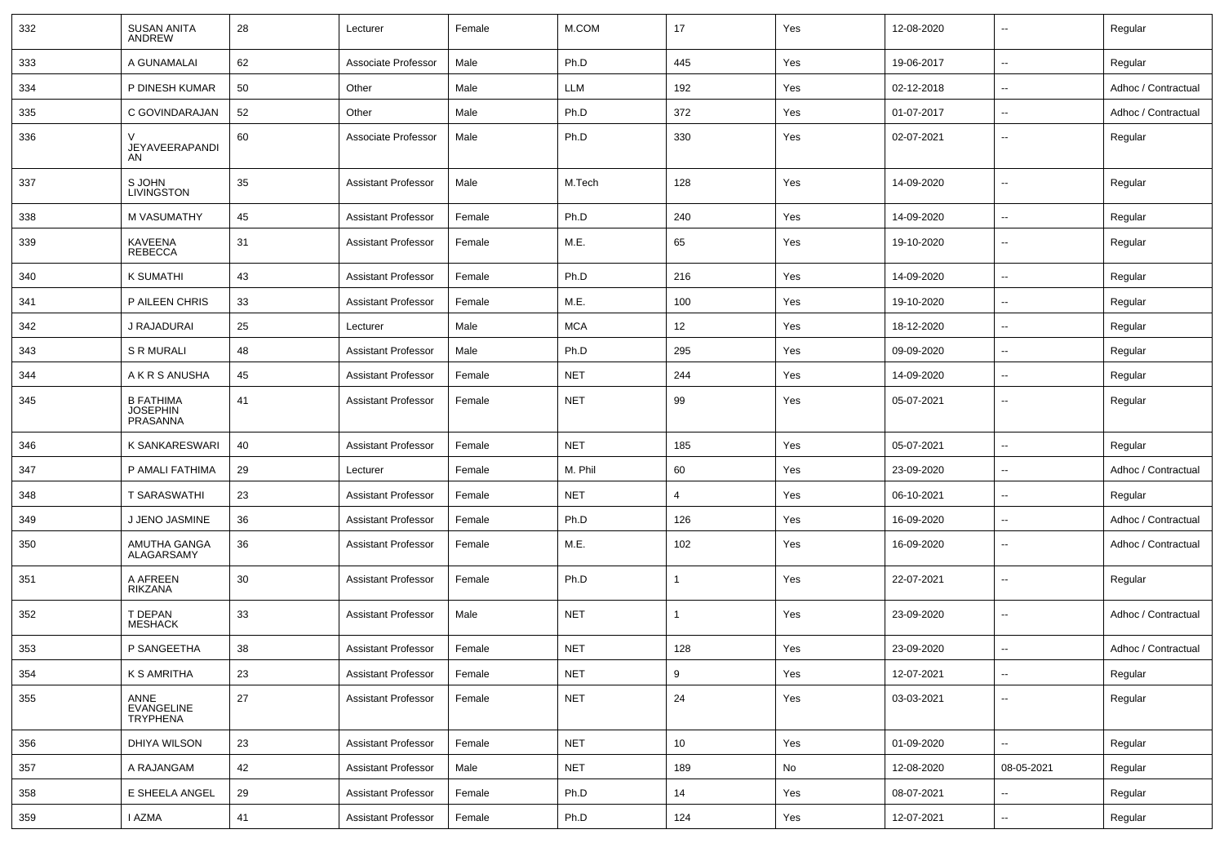| 332 | <b>SUSAN ANITA</b><br><b>ANDREW</b>             | 28 | Lecturer                   | Female | M.COM      | 17             | Yes | 12-08-2020 | $\overline{\phantom{a}}$ | Regular             |
|-----|-------------------------------------------------|----|----------------------------|--------|------------|----------------|-----|------------|--------------------------|---------------------|
| 333 | A GUNAMALAI                                     | 62 | Associate Professor        | Male   | Ph.D       | 445            | Yes | 19-06-2017 | $\overline{\phantom{a}}$ | Regular             |
| 334 | P DINESH KUMAR                                  | 50 | Other                      | Male   | LLM        | 192            | Yes | 02-12-2018 | $\overline{\phantom{a}}$ | Adhoc / Contractual |
| 335 | C GOVINDARAJAN                                  | 52 | Other                      | Male   | Ph.D       | 372            | Yes | 01-07-2017 | $\mathbf{u}$             | Adhoc / Contractual |
| 336 | JEYAVEERAPANDI<br>AN                            | 60 | Associate Professor        | Male   | Ph.D       | 330            | Yes | 02-07-2021 | $\overline{\phantom{a}}$ | Regular             |
| 337 | S JOHN<br><b>LIVINGSTON</b>                     | 35 | <b>Assistant Professor</b> | Male   | M.Tech     | 128            | Yes | 14-09-2020 | $\overline{\phantom{a}}$ | Regular             |
| 338 | M VASUMATHY                                     | 45 | <b>Assistant Professor</b> | Female | Ph.D       | 240            | Yes | 14-09-2020 | $\mathbf{u}$             | Regular             |
| 339 | <b>KAVEENA</b><br><b>REBECCA</b>                | 31 | <b>Assistant Professor</b> | Female | M.E.       | 65             | Yes | 19-10-2020 | $\overline{\phantom{a}}$ | Regular             |
| 340 | K SUMATHI                                       | 43 | <b>Assistant Professor</b> | Female | Ph.D       | 216            | Yes | 14-09-2020 | $\overline{\phantom{a}}$ | Regular             |
| 341 | P AILEEN CHRIS                                  | 33 | <b>Assistant Professor</b> | Female | M.E.       | 100            | Yes | 19-10-2020 | $\overline{\phantom{a}}$ | Regular             |
| 342 | J RAJADURAI                                     | 25 | Lecturer                   | Male   | <b>MCA</b> | 12             | Yes | 18-12-2020 | $\overline{\phantom{a}}$ | Regular             |
| 343 | <b>S R MURALI</b>                               | 48 | <b>Assistant Professor</b> | Male   | Ph.D       | 295            | Yes | 09-09-2020 | $\overline{\phantom{a}}$ | Regular             |
| 344 | A K R S ANUSHA                                  | 45 | <b>Assistant Professor</b> | Female | <b>NET</b> | 244            | Yes | 14-09-2020 | $\overline{\phantom{a}}$ | Regular             |
| 345 | <b>B FATHIMA</b><br><b>JOSEPHIN</b><br>PRASANNA | 41 | <b>Assistant Professor</b> | Female | <b>NET</b> | 99             | Yes | 05-07-2021 | $\overline{\phantom{a}}$ | Regular             |
| 346 | K SANKARESWARI                                  | 40 | <b>Assistant Professor</b> | Female | <b>NET</b> | 185            | Yes | 05-07-2021 | $\overline{\phantom{a}}$ | Regular             |
| 347 | P AMALI FATHIMA                                 | 29 | Lecturer                   | Female | M. Phil    | 60             | Yes | 23-09-2020 | $\mathbf{u}$             | Adhoc / Contractual |
| 348 | T SARASWATHI                                    | 23 | <b>Assistant Professor</b> | Female | <b>NET</b> | $\overline{4}$ | Yes | 06-10-2021 | $\overline{\phantom{a}}$ | Regular             |
| 349 | J JENO JASMINE                                  | 36 | <b>Assistant Professor</b> | Female | Ph.D       | 126            | Yes | 16-09-2020 | $\overline{\phantom{a}}$ | Adhoc / Contractual |
| 350 | AMUTHA GANGA<br>ALAGARSAMY                      | 36 | <b>Assistant Professor</b> | Female | M.E.       | 102            | Yes | 16-09-2020 | $\overline{\phantom{a}}$ | Adhoc / Contractual |
| 351 | A AFREEN<br>RIKZANA                             | 30 | <b>Assistant Professor</b> | Female | Ph.D       | $\mathbf{1}$   | Yes | 22-07-2021 | $\mathbf{u}$             | Regular             |
| 352 | T DEPAN<br><b>MESHACK</b>                       | 33 | <b>Assistant Professor</b> | Male   | <b>NET</b> | $\mathbf{1}$   | Yes | 23-09-2020 | $\mathbf{u}$             | Adhoc / Contractual |
| 353 | P SANGEETHA                                     | 38 | <b>Assistant Professor</b> | Female | <b>NET</b> | 128            | Yes | 23-09-2020 | $\overline{\phantom{a}}$ | Adhoc / Contractual |
| 354 | K S AMRITHA                                     | 23 | <b>Assistant Professor</b> | Female | <b>NET</b> | 9              | Yes | 12-07-2021 | $\overline{\phantom{a}}$ | Regular             |
| 355 | ANNE<br>EVANGELINE<br>TRYPHENA                  | 27 | <b>Assistant Professor</b> | Female | <b>NET</b> | 24             | Yes | 03-03-2021 | $\overline{\phantom{a}}$ | Regular             |
| 356 | DHIYA WILSON                                    | 23 | <b>Assistant Professor</b> | Female | <b>NET</b> | 10             | Yes | 01-09-2020 | Ξ.                       | Regular             |
| 357 | A RAJANGAM                                      | 42 | <b>Assistant Professor</b> | Male   | <b>NET</b> | 189            | No  | 12-08-2020 | 08-05-2021               | Regular             |
| 358 | E SHEELA ANGEL                                  | 29 | <b>Assistant Professor</b> | Female | Ph.D       | 14             | Yes | 08-07-2021 | $\overline{\phantom{a}}$ | Regular             |
| 359 | I AZMA                                          | 41 | <b>Assistant Professor</b> | Female | Ph.D       | 124            | Yes | 12-07-2021 | ۰.                       | Regular             |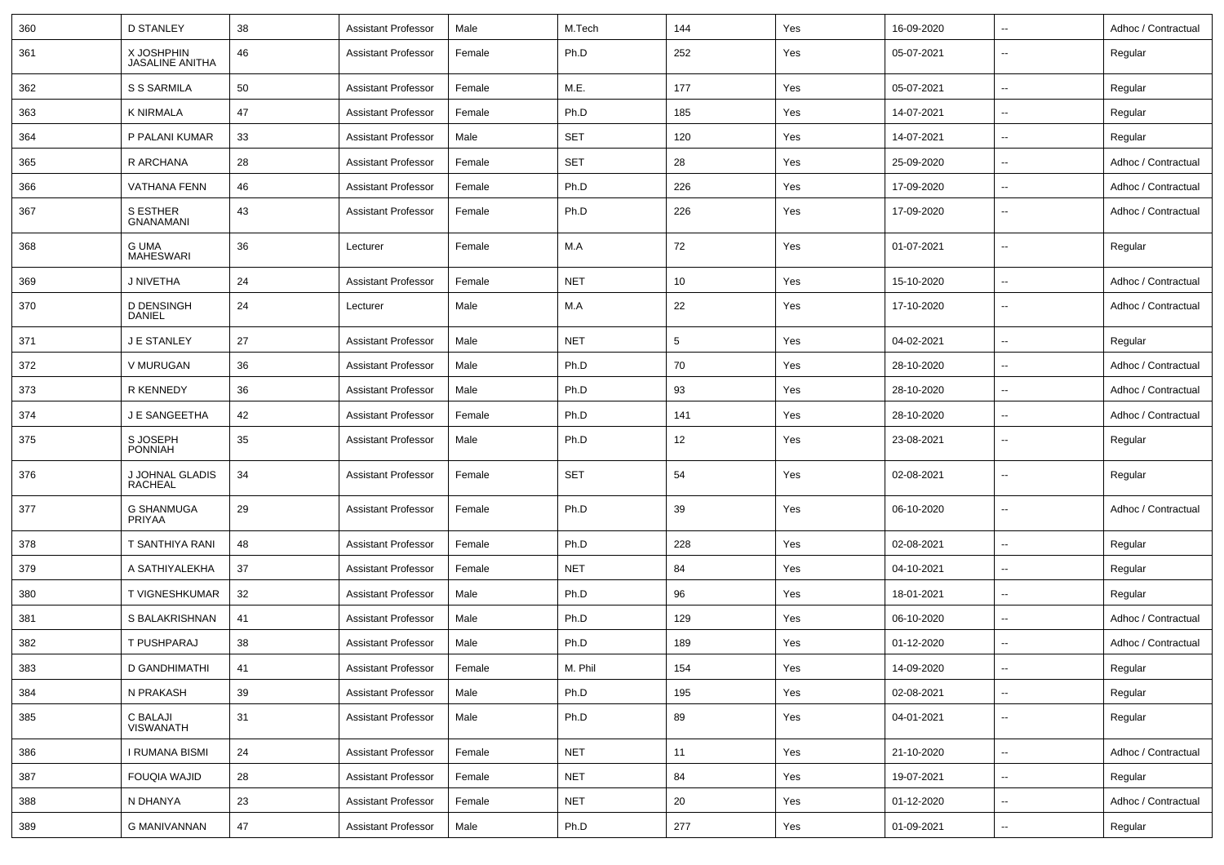| 360 | <b>D STANLEY</b>                     | 38 | <b>Assistant Professor</b> | Male   | M.Tech     | 144             | Yes | 16-09-2020 | $\overline{\phantom{a}}$ | Adhoc / Contractual |
|-----|--------------------------------------|----|----------------------------|--------|------------|-----------------|-----|------------|--------------------------|---------------------|
| 361 | X JOSHPHIN<br><b>JASALINE ANITHA</b> | 46 | <b>Assistant Professor</b> | Female | Ph.D       | 252             | Yes | 05-07-2021 | $\overline{\phantom{a}}$ | Regular             |
| 362 | S S SARMILA                          | 50 | <b>Assistant Professor</b> | Female | M.E.       | 177             | Yes | 05-07-2021 | $\overline{\phantom{a}}$ | Regular             |
| 363 | <b>K NIRMALA</b>                     | 47 | <b>Assistant Professor</b> | Female | Ph.D       | 185             | Yes | 14-07-2021 | $\overline{\phantom{a}}$ | Regular             |
| 364 | P PALANI KUMAR                       | 33 | <b>Assistant Professor</b> | Male   | <b>SET</b> | 120             | Yes | 14-07-2021 | $\overline{\phantom{a}}$ | Regular             |
| 365 | R ARCHANA                            | 28 | <b>Assistant Professor</b> | Female | <b>SET</b> | 28              | Yes | 25-09-2020 | $\overline{\phantom{a}}$ | Adhoc / Contractual |
| 366 | <b>VATHANA FENN</b>                  | 46 | <b>Assistant Professor</b> | Female | Ph.D       | 226             | Yes | 17-09-2020 | $\overline{\phantom{a}}$ | Adhoc / Contractual |
| 367 | <b>S ESTHER</b><br><b>GNANAMANI</b>  | 43 | Assistant Professor        | Female | Ph.D       | 226             | Yes | 17-09-2020 | $\overline{\phantom{a}}$ | Adhoc / Contractual |
| 368 | <b>G UMA</b><br><b>MAHESWARI</b>     | 36 | Lecturer                   | Female | M.A        | 72              | Yes | 01-07-2021 | $\overline{\phantom{a}}$ | Regular             |
| 369 | J NIVETHA                            | 24 | <b>Assistant Professor</b> | Female | <b>NET</b> | 10              | Yes | 15-10-2020 | $\sim$                   | Adhoc / Contractual |
| 370 | <b>D DENSINGH</b><br><b>DANIEL</b>   | 24 | Lecturer                   | Male   | M.A        | 22              | Yes | 17-10-2020 | $\overline{\phantom{a}}$ | Adhoc / Contractual |
| 371 | J E STANLEY                          | 27 | <b>Assistant Professor</b> | Male   | <b>NET</b> | $5\phantom{.0}$ | Yes | 04-02-2021 | $\overline{\phantom{a}}$ | Regular             |
| 372 | V MURUGAN                            | 36 | <b>Assistant Professor</b> | Male   | Ph.D       | 70              | Yes | 28-10-2020 | $\overline{\phantom{a}}$ | Adhoc / Contractual |
| 373 | R KENNEDY                            | 36 | <b>Assistant Professor</b> | Male   | Ph.D       | 93              | Yes | 28-10-2020 | $\overline{\phantom{a}}$ | Adhoc / Contractual |
| 374 | J E SANGEETHA                        | 42 | <b>Assistant Professor</b> | Female | Ph.D       | 141             | Yes | 28-10-2020 | $\overline{\phantom{a}}$ | Adhoc / Contractual |
| 375 | S JOSEPH<br><b>PONNIAH</b>           | 35 | <b>Assistant Professor</b> | Male   | Ph.D       | 12              | Yes | 23-08-2021 | $\mathbf{u}$             | Regular             |
| 376 | J JOHNAL GLADIS<br>RACHEAL           | 34 | <b>Assistant Professor</b> | Female | <b>SET</b> | 54              | Yes | 02-08-2021 | $\overline{\phantom{a}}$ | Regular             |
| 377 | <b>G SHANMUGA</b><br>PRIYAA          | 29 | <b>Assistant Professor</b> | Female | Ph.D       | 39              | Yes | 06-10-2020 | $\mathbf{u}$             | Adhoc / Contractual |
| 378 | T SANTHIYA RANI                      | 48 | <b>Assistant Professor</b> | Female | Ph.D       | 228             | Yes | 02-08-2021 | $\overline{\phantom{a}}$ | Regular             |
| 379 | A SATHIYALEKHA                       | 37 | Assistant Professor        | Female | <b>NET</b> | 84              | Yes | 04-10-2021 | $\overline{\phantom{a}}$ | Regular             |
| 380 | T VIGNESHKUMAR                       | 32 | <b>Assistant Professor</b> | Male   | Ph.D       | 96              | Yes | 18-01-2021 | $\overline{\phantom{a}}$ | Regular             |
| 381 | S BALAKRISHNAN                       | 41 | <b>Assistant Professor</b> | Male   | Ph.D       | 129             | Yes | 06-10-2020 | $\mathbf{u}$             | Adhoc / Contractual |
| 382 | T PUSHPARAJ                          | 38 | <b>Assistant Professor</b> | Male   | Ph.D       | 189             | Yes | 01-12-2020 | $\overline{\phantom{a}}$ | Adhoc / Contractual |
| 383 | D GANDHIMATHI                        | 41 | Assistant Professor        | Female | M. Phil    | 154             | Yes | 14-09-2020 |                          | Regular             |
| 384 | N PRAKASH                            | 39 | <b>Assistant Professor</b> | Male   | Ph.D       | 195             | Yes | 02-08-2021 | $\sim$                   | Regular             |
| 385 | <b>C BALAJI</b><br>VISWANATH         | 31 | <b>Assistant Professor</b> | Male   | Ph.D       | 89              | Yes | 04-01-2021 | $\overline{\phantom{a}}$ | Regular             |
| 386 | I RUMANA BISMI                       | 24 | <b>Assistant Professor</b> | Female | <b>NET</b> | 11              | Yes | 21-10-2020 | $\sim$                   | Adhoc / Contractual |
| 387 | <b>FOUQIA WAJID</b>                  | 28 | <b>Assistant Professor</b> | Female | NET        | 84              | Yes | 19-07-2021 | $\sim$                   | Regular             |
| 388 | N DHANYA                             | 23 | Assistant Professor        | Female | <b>NET</b> | 20              | Yes | 01-12-2020 | $\overline{\phantom{a}}$ | Adhoc / Contractual |
| 389 | <b>G MANIVANNAN</b>                  | 47 | <b>Assistant Professor</b> | Male   | Ph.D       | 277             | Yes | 01-09-2021 | ⊷                        | Regular             |